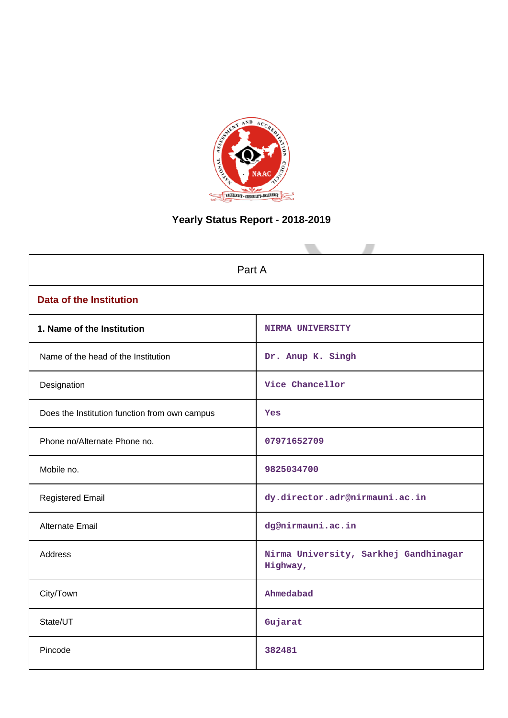

# **Yearly Status Report - 2018-2019**

| Part A                                        |                                                   |  |  |  |  |
|-----------------------------------------------|---------------------------------------------------|--|--|--|--|
| <b>Data of the Institution</b>                |                                                   |  |  |  |  |
| 1. Name of the Institution                    | <b>NIRMA UNIVERSITY</b>                           |  |  |  |  |
| Name of the head of the Institution           | Dr. Anup K. Singh                                 |  |  |  |  |
| Designation                                   | Vice Chancellor                                   |  |  |  |  |
| Does the Institution function from own campus | Yes                                               |  |  |  |  |
| Phone no/Alternate Phone no.                  | 07971652709                                       |  |  |  |  |
| Mobile no.                                    | 9825034700                                        |  |  |  |  |
| <b>Registered Email</b>                       | dy.director.adr@nirmauni.ac.in                    |  |  |  |  |
| <b>Alternate Email</b>                        | dg@nirmauni.ac.in                                 |  |  |  |  |
| <b>Address</b>                                | Nirma University, Sarkhej Gandhinagar<br>Highway, |  |  |  |  |
| City/Town                                     | Ahmedabad                                         |  |  |  |  |
| State/UT                                      | Gujarat                                           |  |  |  |  |
| Pincode                                       | 382481                                            |  |  |  |  |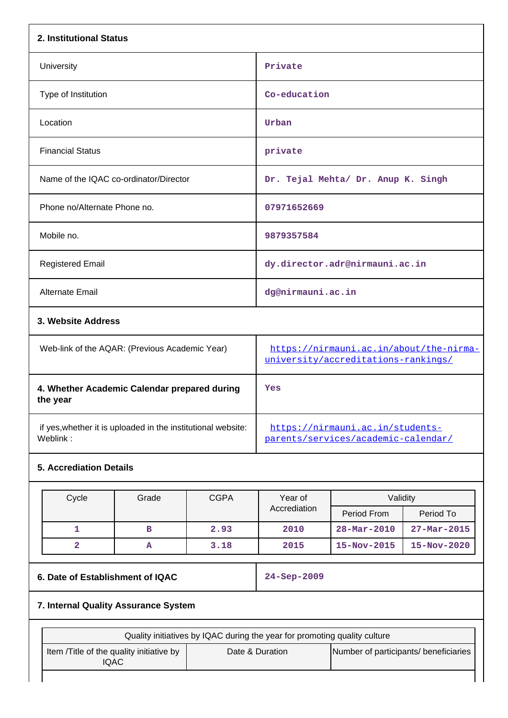| 2. Institutional Status          |                                                              |             |                                                                                |                                    |                   |  |
|----------------------------------|--------------------------------------------------------------|-------------|--------------------------------------------------------------------------------|------------------------------------|-------------------|--|
| University                       |                                                              |             | Private                                                                        |                                    |                   |  |
| Type of Institution              |                                                              |             | Co-education                                                                   |                                    |                   |  |
| Location                         |                                                              |             | Urban                                                                          |                                    |                   |  |
| <b>Financial Status</b>          |                                                              |             | private                                                                        |                                    |                   |  |
|                                  | Name of the IQAC co-ordinator/Director                       |             |                                                                                | Dr. Tejal Mehta/ Dr. Anup K. Singh |                   |  |
| Phone no/Alternate Phone no.     |                                                              |             | 07971652669                                                                    |                                    |                   |  |
| Mobile no.                       |                                                              |             | 9879357584                                                                     |                                    |                   |  |
| <b>Registered Email</b>          |                                                              |             |                                                                                | dy.director.adr@nirmauni.ac.in     |                   |  |
| <b>Alternate Email</b>           |                                                              |             | dg@nirmauni.ac.in                                                              |                                    |                   |  |
| 3. Website Address               |                                                              |             |                                                                                |                                    |                   |  |
|                                  | Web-link of the AQAR: (Previous Academic Year)               |             | https://nirmauni.ac.in/about/the-nirma-<br>university/accreditations-rankings/ |                                    |                   |  |
| the year                         | 4. Whether Academic Calendar prepared during                 |             | Yes                                                                            |                                    |                   |  |
| Weblink:                         | if yes, whether it is uploaded in the institutional website: |             | https://nirmauni.ac.in/students-<br>parents/services/academic-calendar/        |                                    |                   |  |
| <b>5. Accrediation Details</b>   |                                                              |             |                                                                                |                                    |                   |  |
| Cycle                            | Grade                                                        | <b>CGPA</b> | Year of                                                                        | Validity                           |                   |  |
|                                  |                                                              |             | Accrediation                                                                   | Period From                        | Period To         |  |
| 1                                | в                                                            | 2.93        | 2010                                                                           | 28-Mar-2010                        | $27 - Mar - 2015$ |  |
| 2                                | A                                                            | 3.18        | 2015                                                                           | 15-Nov-2015                        | 15-Nov-2020       |  |
| 6. Date of Establishment of IQAC |                                                              |             | 24-Sep-2009                                                                    |                                    |                   |  |
|                                  | 7. Internal Quality Assurance System                         |             |                                                                                |                                    |                   |  |

| Quality initiatives by IQAC during the year for promoting quality culture |                 |                                       |  |  |  |  |  |
|---------------------------------------------------------------------------|-----------------|---------------------------------------|--|--|--|--|--|
| Item / Title of the quality initiative by<br>IQAC                         | Date & Duration | Number of participants/ beneficiaries |  |  |  |  |  |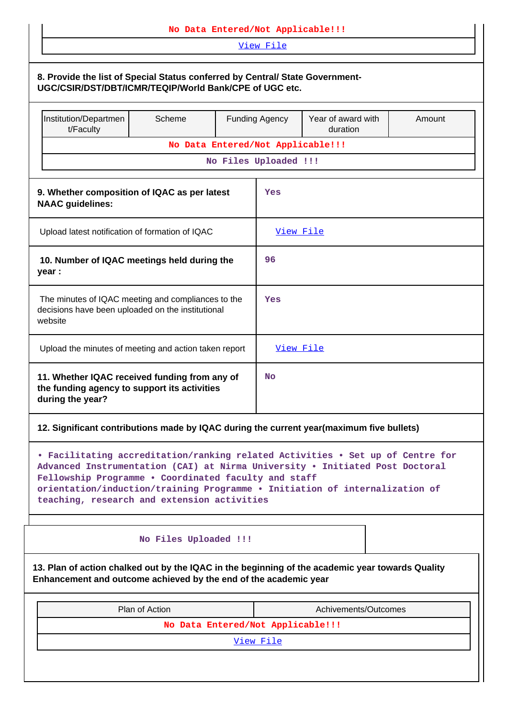| No Data Entered/Not Applicable!!!                                                                                                                                                                                                                                                                                                                    |                                   |  |                                   |                      |  |  |  |  |  |
|------------------------------------------------------------------------------------------------------------------------------------------------------------------------------------------------------------------------------------------------------------------------------------------------------------------------------------------------------|-----------------------------------|--|-----------------------------------|----------------------|--|--|--|--|--|
| View File                                                                                                                                                                                                                                                                                                                                            |                                   |  |                                   |                      |  |  |  |  |  |
| 8. Provide the list of Special Status conferred by Central/ State Government-<br>UGC/CSIR/DST/DBT/ICMR/TEQIP/World Bank/CPE of UGC etc.                                                                                                                                                                                                              |                                   |  |                                   |                      |  |  |  |  |  |
| Institution/Departmen<br>t/Faculty                                                                                                                                                                                                                                                                                                                   | Scheme                            |  | <b>Funding Agency</b>             | Amount               |  |  |  |  |  |
|                                                                                                                                                                                                                                                                                                                                                      |                                   |  | No Data Entered/Not Applicable!!! |                      |  |  |  |  |  |
|                                                                                                                                                                                                                                                                                                                                                      |                                   |  | No Files Uploaded !!!             |                      |  |  |  |  |  |
| 9. Whether composition of IQAC as per latest<br>Yes<br><b>NAAC</b> guidelines:                                                                                                                                                                                                                                                                       |                                   |  |                                   |                      |  |  |  |  |  |
| Upload latest notification of formation of IQAC                                                                                                                                                                                                                                                                                                      |                                   |  | View File                         |                      |  |  |  |  |  |
| 10. Number of IQAC meetings held during the<br>year :                                                                                                                                                                                                                                                                                                |                                   |  | 96                                |                      |  |  |  |  |  |
| The minutes of IQAC meeting and compliances to the<br>decisions have been uploaded on the institutional<br>website                                                                                                                                                                                                                                   |                                   |  | Yes                               |                      |  |  |  |  |  |
| Upload the minutes of meeting and action taken report                                                                                                                                                                                                                                                                                                |                                   |  | View File                         |                      |  |  |  |  |  |
| 11. Whether IQAC received funding from any of<br>the funding agency to support its activities<br>during the year?                                                                                                                                                                                                                                    |                                   |  | No                                |                      |  |  |  |  |  |
| 12. Significant contributions made by IQAC during the current year(maximum five bullets)                                                                                                                                                                                                                                                             |                                   |  |                                   |                      |  |  |  |  |  |
| • Facilitating accreditation/ranking related Activities • Set up of Centre for<br>Advanced Instrumentation (CAI) at Nirma University . Initiated Post Doctoral<br>Fellowship Programme . Coordinated faculty and staff<br>orientation/induction/training Programme . Initiation of internalization of<br>teaching, research and extension activities |                                   |  |                                   |                      |  |  |  |  |  |
|                                                                                                                                                                                                                                                                                                                                                      | No Files Uploaded !!!             |  |                                   |                      |  |  |  |  |  |
| 13. Plan of action chalked out by the IQAC in the beginning of the academic year towards Quality<br>Enhancement and outcome achieved by the end of the academic year                                                                                                                                                                                 |                                   |  |                                   |                      |  |  |  |  |  |
|                                                                                                                                                                                                                                                                                                                                                      | Plan of Action                    |  |                                   | Achivements/Outcomes |  |  |  |  |  |
|                                                                                                                                                                                                                                                                                                                                                      | No Data Entered/Not Applicable!!! |  |                                   |                      |  |  |  |  |  |
|                                                                                                                                                                                                                                                                                                                                                      |                                   |  | View File                         |                      |  |  |  |  |  |
|                                                                                                                                                                                                                                                                                                                                                      |                                   |  |                                   |                      |  |  |  |  |  |
|                                                                                                                                                                                                                                                                                                                                                      |                                   |  |                                   |                      |  |  |  |  |  |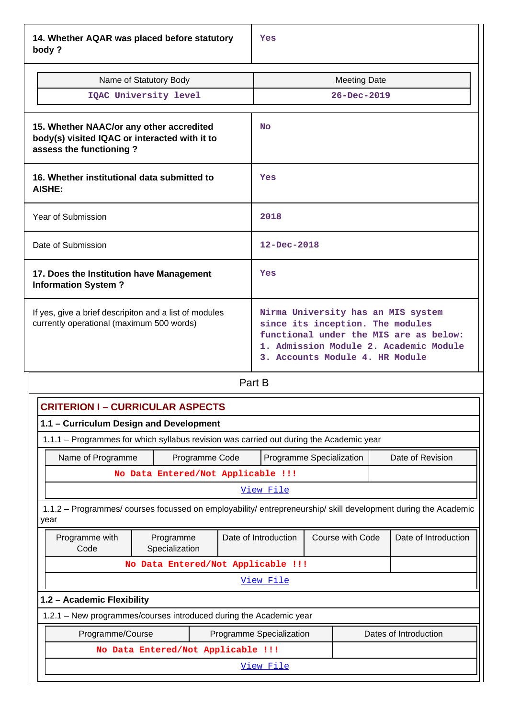**14. Whether AQAR was placed before statutory body ?**

| Name of Statutory Body<br>IQAC University level                                                                      | <b>Meeting Date</b><br>$26 - Dec - 2019$                                                                                                                                                      |
|----------------------------------------------------------------------------------------------------------------------|-----------------------------------------------------------------------------------------------------------------------------------------------------------------------------------------------|
| 15. Whether NAAC/or any other accredited<br>body(s) visited IQAC or interacted with it to<br>assess the functioning? | N <sub>O</sub>                                                                                                                                                                                |
| 16. Whether institutional data submitted to<br>AISHE:                                                                | Yes                                                                                                                                                                                           |
| Year of Submission                                                                                                   | 2018                                                                                                                                                                                          |
| Date of Submission                                                                                                   | $12 - Dec - 2018$                                                                                                                                                                             |
| 17. Does the Institution have Management<br><b>Information System?</b>                                               | Yes                                                                                                                                                                                           |
| If yes, give a brief descripiton and a list of modules<br>currently operational (maximum 500 words)                  | Nirma University has an MIS system<br>since its inception. The modules<br>functional under the MIS are as below:<br>1. Admission Module 2. Academic Module<br>3. Accounts Module 4. HR Module |

Part B

| <b>CRITERION I - CURRICULAR ASPECTS</b>                                                                                |                                                                    |  |                          |  |                  |                       |  |  |
|------------------------------------------------------------------------------------------------------------------------|--------------------------------------------------------------------|--|--------------------------|--|------------------|-----------------------|--|--|
|                                                                                                                        | 1.1 - Curriculum Design and Development                            |  |                          |  |                  |                       |  |  |
| 1.1.1 – Programmes for which syllabus revision was carried out during the Academic year                                |                                                                    |  |                          |  |                  |                       |  |  |
| Programme Specialization<br>Date of Revision<br>Name of Programme<br>Programme Code                                    |                                                                    |  |                          |  |                  |                       |  |  |
| No Data Entered/Not Applicable !!!                                                                                     |                                                                    |  |                          |  |                  |                       |  |  |
|                                                                                                                        |                                                                    |  | View File                |  |                  |                       |  |  |
| 1.1.2 - Programmes/ courses focussed on employability/ entrepreneurship/ skill development during the Academic<br>year |                                                                    |  |                          |  |                  |                       |  |  |
| Programme with<br>Code                                                                                                 | Programme<br>Specialization                                        |  | Date of Introduction     |  | Course with Code | Date of Introduction  |  |  |
|                                                                                                                        | No Data Entered/Not Applicable !!!                                 |  |                          |  |                  |                       |  |  |
|                                                                                                                        |                                                                    |  | View File                |  |                  |                       |  |  |
| 1.2 - Academic Flexibility                                                                                             |                                                                    |  |                          |  |                  |                       |  |  |
|                                                                                                                        | 1.2.1 – New programmes/courses introduced during the Academic year |  |                          |  |                  |                       |  |  |
| Programme/Course                                                                                                       |                                                                    |  | Programme Specialization |  |                  | Dates of Introduction |  |  |
|                                                                                                                        | No Data Entered/Not Applicable !!!                                 |  |                          |  |                  |                       |  |  |
|                                                                                                                        |                                                                    |  | View File                |  |                  |                       |  |  |
|                                                                                                                        |                                                                    |  |                          |  |                  |                       |  |  |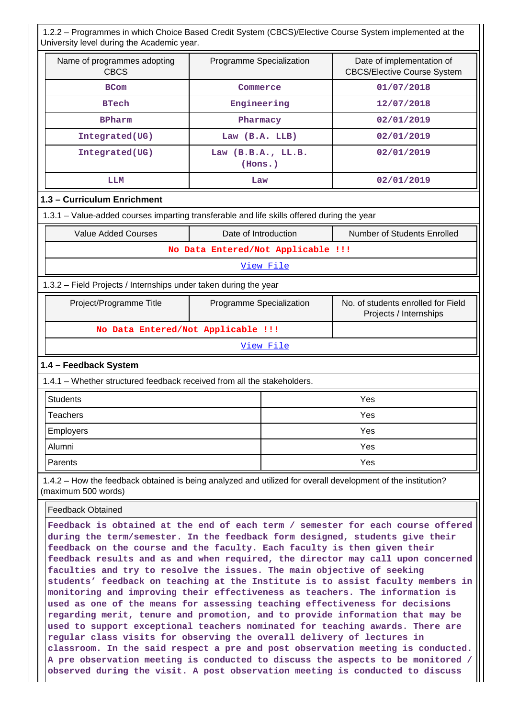1.2.2 – Programmes in which Choice Based Credit System (CBCS)/Elective Course System implemented at the University level during the Academic year.

| Name of programmes adopting<br><b>CBCS</b> | Programme Specialization      | Date of implementation of<br><b>CBCS/Elective Course System</b> |
|--------------------------------------------|-------------------------------|-----------------------------------------------------------------|
| <b>BCom</b>                                | Commerce                      | 01/07/2018                                                      |
| <b>BTech</b>                               | Engineering                   | 12/07/2018                                                      |
| <b>BPharm</b>                              | Pharmacy                      | 02/01/2019                                                      |
| Integrated(UG)                             | Law $(B.A. LLB)$              | 02/01/2019                                                      |
| Integrated(UG)                             | Law (B.B.A., LL.B.<br>(Hons.) | 02/01/2019                                                      |
| LLM                                        | Law                           | 02/01/2019                                                      |

#### **1.3 – Curriculum Enrichment**

1.3.1 – Value-added courses imparting transferable and life skills offered during the year

|                                    | Value Added Courses                                              | Date of Introduction     | <b>Number of Students Enrolled</b>                           |  |  |  |  |  |  |
|------------------------------------|------------------------------------------------------------------|--------------------------|--------------------------------------------------------------|--|--|--|--|--|--|
| No Data Entered/Not Applicable !!! |                                                                  |                          |                                                              |  |  |  |  |  |  |
|                                    | View File                                                        |                          |                                                              |  |  |  |  |  |  |
|                                    | 1.3.2 - Field Projects / Internships under taken during the year |                          |                                                              |  |  |  |  |  |  |
|                                    | Project/Programme Title                                          | Programme Specialization | No. of students enrolled for Field<br>Projects / Internships |  |  |  |  |  |  |

# **No Data Entered/Not Applicable !!!**

#### [View File](https://assessmentonline.naac.gov.in/public/Postacc/Projects_undertaken/2997_Projects_undertaken_1582008158.xlsx)

#### **1.4 – Feedback System**

1.4.1 – Whether structured feedback received from all the stakeholders.

| Students  | Yes |
|-----------|-----|
| Teachers  | Yes |
| Employers | Yes |
| Alumni    | Yes |
| Parents   | Yes |

 1.4.2 – How the feedback obtained is being analyzed and utilized for overall development of the institution? (maximum 500 words)

Feedback Obtained

**Feedback is obtained at the end of each term / semester for each course offered during the term/semester. In the feedback form designed, students give their feedback on the course and the faculty. Each faculty is then given their feedback results and as and when required, the director may call upon concerned faculties and try to resolve the issues. The main objective of seeking students' feedback on teaching at the Institute is to assist faculty members in monitoring and improving their effectiveness as teachers. The information is used as one of the means for assessing teaching effectiveness for decisions regarding merit, tenure and promotion, and to provide information that may be used to support exceptional teachers nominated for teaching awards. There are regular class visits for observing the overall delivery of lectures in classroom. In the said respect a pre and post observation meeting is conducted. A pre observation meeting is conducted to discuss the aspects to be monitored / observed during the visit. A post observation meeting is conducted to discuss**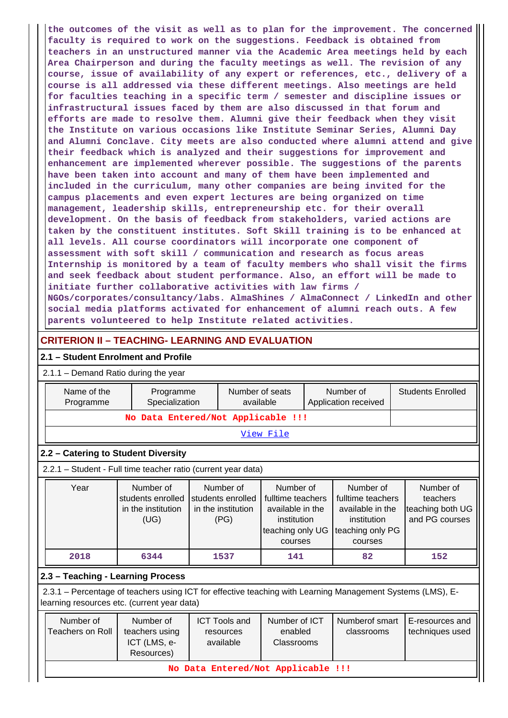**the outcomes of the visit as well as to plan for the improvement. The concerned faculty is required to work on the suggestions. Feedback is obtained from teachers in an unstructured manner via the Academic Area meetings held by each Area Chairperson and during the faculty meetings as well. The revision of any course, issue of availability of any expert or references, etc., delivery of a course is all addressed via these different meetings. Also meetings are held for faculties teaching in a specific term / semester and discipline issues or infrastructural issues faced by them are also discussed in that forum and efforts are made to resolve them. Alumni give their feedback when they visit the Institute on various occasions like Institute Seminar Series, Alumni Day and Alumni Conclave. City meets are also conducted where alumni attend and give their feedback which is analyzed and their suggestions for improvement and enhancement are implemented wherever possible. The suggestions of the parents have been taken into account and many of them have been implemented and included in the curriculum, many other companies are being invited for the campus placements and even expert lectures are being organized on time management, leadership skills, entrepreneurship etc. for their overall development. On the basis of feedback from stakeholders, varied actions are taken by the constituent institutes. Soft Skill training is to be enhanced at all levels. All course coordinators will incorporate one component of assessment with soft skill / communication and research as focus areas Internship is monitored by a team of faculty members who shall visit the firms and seek feedback about student performance. Also, an effort will be made to initiate further collaborative activities with law firms / NGOs/corporates/consultancy/labs. AlmaShines / AlmaConnect / LinkedIn and other social media platforms activated for enhancement of alumni reach outs. A few parents volunteered to help Institute related activities.**

# **CRITERION II – TEACHING- LEARNING AND EVALUATION**

## **2.1 – Student Enrolment and Profile**

### 2.1.1 – Demand Ratio during the year

|                                                                                                                                                                                               | Name of the<br>Programme                                                                                                                                  | Programme<br>Specialization                                  | Number of seats<br>available |                                                                                                                                                                                                                                                                      |     |  | Number of<br>Application received |  | <b>Students Enrolled</b>                                    |  |  |
|-----------------------------------------------------------------------------------------------------------------------------------------------------------------------------------------------|-----------------------------------------------------------------------------------------------------------------------------------------------------------|--------------------------------------------------------------|------------------------------|----------------------------------------------------------------------------------------------------------------------------------------------------------------------------------------------------------------------------------------------------------------------|-----|--|-----------------------------------|--|-------------------------------------------------------------|--|--|
|                                                                                                                                                                                               |                                                                                                                                                           | No Data Entered/Not Applicable !!!                           |                              |                                                                                                                                                                                                                                                                      |     |  |                                   |  |                                                             |  |  |
|                                                                                                                                                                                               | View File                                                                                                                                                 |                                                              |                              |                                                                                                                                                                                                                                                                      |     |  |                                   |  |                                                             |  |  |
|                                                                                                                                                                                               | 2.2 - Catering to Student Diversity                                                                                                                       |                                                              |                              |                                                                                                                                                                                                                                                                      |     |  |                                   |  |                                                             |  |  |
|                                                                                                                                                                                               | 2.2.1 - Student - Full time teacher ratio (current year data)                                                                                             |                                                              |                              |                                                                                                                                                                                                                                                                      |     |  |                                   |  |                                                             |  |  |
|                                                                                                                                                                                               | Year                                                                                                                                                      | Number of<br>students enrolled<br>in the institution<br>(UG) |                              | Number of<br>Number of<br>Number of<br>students enrolled<br>fulltime teachers<br>fulltime teachers<br>in the institution<br>available in the<br>available in the<br>institution<br>institution<br>(PG)<br>teaching only UG<br>teaching only PG<br>courses<br>courses |     |  |                                   |  | Number of<br>teachers<br>teaching both UG<br>and PG courses |  |  |
|                                                                                                                                                                                               | 2018                                                                                                                                                      | 6344                                                         |                              | 1537                                                                                                                                                                                                                                                                 | 141 |  | 82                                |  | 152                                                         |  |  |
|                                                                                                                                                                                               | 2.3 - Teaching - Learning Process                                                                                                                         |                                                              |                              |                                                                                                                                                                                                                                                                      |     |  |                                   |  |                                                             |  |  |
|                                                                                                                                                                                               | 2.3.1 - Percentage of teachers using ICT for effective teaching with Learning Management Systems (LMS), E-<br>learning resources etc. (current year data) |                                                              |                              |                                                                                                                                                                                                                                                                      |     |  |                                   |  |                                                             |  |  |
| Number of<br>Number of<br>Number of ICT<br><b>ICT Tools and</b><br><b>Teachers on Roll</b><br>teachers using<br>enabled<br>resources<br>ICT (LMS, e-<br>available<br>Classrooms<br>Resources) |                                                                                                                                                           |                                                              |                              |                                                                                                                                                                                                                                                                      |     |  | Numberof smart<br>classrooms      |  | E-resources and<br>techniques used                          |  |  |
|                                                                                                                                                                                               |                                                                                                                                                           | No Data Entered/Not Applicable !!!                           |                              |                                                                                                                                                                                                                                                                      |     |  |                                   |  |                                                             |  |  |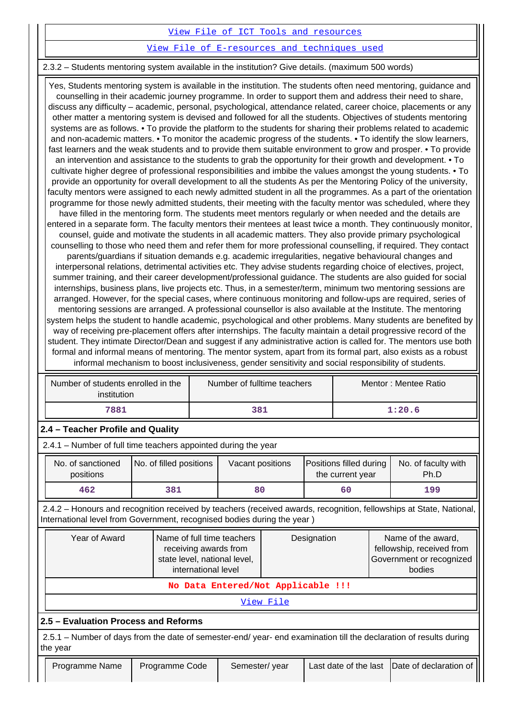### [View File of ICT Tools and resources](https://assessmentonline.naac.gov.in/public/Postacc/ict_tools/2997_ict_tools_1583150199.xlsx)

### [View File of E-resources and techniques used](https://assessmentonline.naac.gov.in/public/Postacc/e_resource/2997_e_resource_1583150299.xlsx)

## 2.3.2 – Students mentoring system available in the institution? Give details. (maximum 500 words)

 Yes, Students mentoring system is available in the institution. The students often need mentoring, guidance and counselling in their academic journey programme. In order to support them and address their need to share, discuss any difficulty – academic, personal, psychological, attendance related, career choice, placements or any other matter a mentoring system is devised and followed for all the students. Objectives of students mentoring systems are as follows. • To provide the platform to the students for sharing their problems related to academic and non-academic matters. • To monitor the academic progress of the students. • To identify the slow learners, fast learners and the weak students and to provide them suitable environment to grow and prosper. • To provide an intervention and assistance to the students to grab the opportunity for their growth and development. • To cultivate higher degree of professional responsibilities and imbibe the values amongst the young students. • To provide an opportunity for overall development to all the students As per the Mentoring Policy of the university, faculty mentors were assigned to each newly admitted student in all the programmes. As a part of the orientation programme for those newly admitted students, their meeting with the faculty mentor was scheduled, where they have filled in the mentoring form. The students meet mentors regularly or when needed and the details are entered in a separate form. The faculty mentors their mentees at least twice a month. They continuously monitor, counsel, guide and motivate the students in all academic matters. They also provide primary psychological counselling to those who need them and refer them for more professional counselling, if required. They contact parents/guardians if situation demands e.g. academic irregularities, negative behavioural changes and interpersonal relations, detrimental activities etc. They advise students regarding choice of electives, project, summer training, and their career development/professional guidance. The students are also guided for social internships, business plans, live projects etc. Thus, in a semester/term, minimum two mentoring sessions are arranged. However, for the special cases, where continuous monitoring and follow-ups are required, series of mentoring sessions are arranged. A professional counsellor is also available at the Institute. The mentoring system helps the student to handle academic, psychological and other problems. Many students are benefited by way of receiving pre-placement offers after internships. The faculty maintain a detail progressive record of the student. They intimate Director/Dean and suggest if any administrative action is called for. The mentors use both formal and informal means of mentoring. The mentor system, apart from its formal part, also exists as a robust informal mechanism to boost inclusiveness, gender sensitivity and social responsibility of students.

|                                                                                                                                | Number of students enrolled in the<br>Number of fulltime teachers<br>institution |             |                                    | Mentor: Mentee Ratio |                                             |                                                                                                                     |  |
|--------------------------------------------------------------------------------------------------------------------------------|----------------------------------------------------------------------------------|-------------|------------------------------------|----------------------|---------------------------------------------|---------------------------------------------------------------------------------------------------------------------|--|
| 7881<br>381                                                                                                                    |                                                                                  |             |                                    |                      |                                             | 1:20.6                                                                                                              |  |
| 2.4 - Teacher Profile and Quality                                                                                              |                                                                                  |             |                                    |                      |                                             |                                                                                                                     |  |
| 2.4.1 – Number of full time teachers appointed during the year                                                                 |                                                                                  |             |                                    |                      |                                             |                                                                                                                     |  |
| No. of sanctioned<br>positions                                                                                                 | No. of filled positions                                                          |             |                                    |                      | Positions filled during<br>the current year | No. of faculty with<br>Ph.D                                                                                         |  |
| 462                                                                                                                            | 381                                                                              |             | 80                                 |                      | 60                                          | 199                                                                                                                 |  |
| International level from Government, recognised bodies during the year)                                                        |                                                                                  |             |                                    |                      |                                             | 2.4.2 – Honours and recognition received by teachers (received awards, recognition, fellowships at State, National, |  |
| Year of Award<br>Name of full time teachers<br>receiving awards from<br>state level, national level,<br>international level    |                                                                                  | Designation |                                    |                      |                                             |                                                                                                                     |  |
|                                                                                                                                |                                                                                  |             |                                    |                      |                                             | Name of the award,<br>fellowship, received from<br>Government or recognized<br>bodies                               |  |
|                                                                                                                                |                                                                                  |             | No Data Entered/Not Applicable !!! |                      |                                             |                                                                                                                     |  |
|                                                                                                                                |                                                                                  |             | View File                          |                      |                                             |                                                                                                                     |  |
| 2.5 - Evaluation Process and Reforms                                                                                           |                                                                                  |             |                                    |                      |                                             |                                                                                                                     |  |
| 2.5.1 – Number of days from the date of semester-end/ year- end examination till the declaration of results during<br>the year |                                                                                  |             |                                    |                      |                                             |                                                                                                                     |  |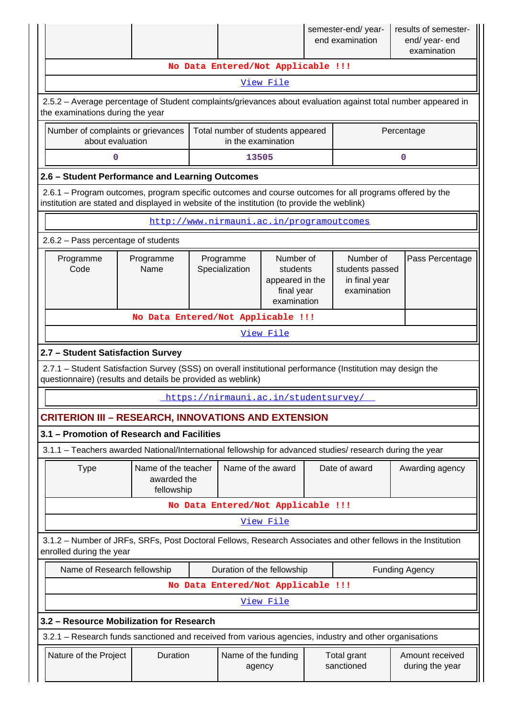|                                                                                                                                                                                                        |                                                                                                                                                   |                                           |                                                                       |  | semester-end/year-<br>end examination                        | results of semester-<br>end/ year- end<br>examination |  |  |  |
|--------------------------------------------------------------------------------------------------------------------------------------------------------------------------------------------------------|---------------------------------------------------------------------------------------------------------------------------------------------------|-------------------------------------------|-----------------------------------------------------------------------|--|--------------------------------------------------------------|-------------------------------------------------------|--|--|--|
|                                                                                                                                                                                                        |                                                                                                                                                   | No Data Entered/Not Applicable !!!        |                                                                       |  |                                                              |                                                       |  |  |  |
| View File                                                                                                                                                                                              |                                                                                                                                                   |                                           |                                                                       |  |                                                              |                                                       |  |  |  |
|                                                                                                                                                                                                        | 2.5.2 – Average percentage of Student complaints/grievances about evaluation against total number appeared in<br>the examinations during the year |                                           |                                                                       |  |                                                              |                                                       |  |  |  |
| Number of complaints or grievances<br>about evaluation                                                                                                                                                 |                                                                                                                                                   | Total number of students appeared         | in the examination                                                    |  |                                                              | Percentage                                            |  |  |  |
| 13505<br>0<br>0                                                                                                                                                                                        |                                                                                                                                                   |                                           |                                                                       |  |                                                              |                                                       |  |  |  |
| 2.6 - Student Performance and Learning Outcomes                                                                                                                                                        |                                                                                                                                                   |                                           |                                                                       |  |                                                              |                                                       |  |  |  |
| 2.6.1 – Program outcomes, program specific outcomes and course outcomes for all programs offered by the<br>institution are stated and displayed in website of the institution (to provide the weblink) |                                                                                                                                                   |                                           |                                                                       |  |                                                              |                                                       |  |  |  |
|                                                                                                                                                                                                        |                                                                                                                                                   | http://www.nirmauni.ac.in/programoutcomes |                                                                       |  |                                                              |                                                       |  |  |  |
| 2.6.2 - Pass percentage of students                                                                                                                                                                    |                                                                                                                                                   |                                           |                                                                       |  |                                                              |                                                       |  |  |  |
| Programme<br>Code                                                                                                                                                                                      | Programme<br>Name                                                                                                                                 | Programme<br>Specialization               | Number of<br>students<br>appeared in the<br>final year<br>examination |  | Number of<br>students passed<br>in final year<br>examination | Pass Percentage                                       |  |  |  |
|                                                                                                                                                                                                        |                                                                                                                                                   | No Data Entered/Not Applicable !!!        |                                                                       |  |                                                              |                                                       |  |  |  |
|                                                                                                                                                                                                        |                                                                                                                                                   |                                           | View File                                                             |  |                                                              |                                                       |  |  |  |
| 2.7 - Student Satisfaction Survey                                                                                                                                                                      |                                                                                                                                                   |                                           |                                                                       |  |                                                              |                                                       |  |  |  |
| 2.7.1 - Student Satisfaction Survey (SSS) on overall institutional performance (Institution may design the<br>questionnaire) (results and details be provided as weblink)                              |                                                                                                                                                   |                                           |                                                                       |  |                                                              |                                                       |  |  |  |
|                                                                                                                                                                                                        |                                                                                                                                                   | https://nirmauni.ac.in/studentsurvey/     |                                                                       |  |                                                              |                                                       |  |  |  |
| <b>CRITERION III - RESEARCH, INNOVATIONS AND EXTENSION</b>                                                                                                                                             |                                                                                                                                                   |                                           |                                                                       |  |                                                              |                                                       |  |  |  |
| 3.1 - Promotion of Research and Facilities                                                                                                                                                             |                                                                                                                                                   |                                           |                                                                       |  |                                                              |                                                       |  |  |  |
| 3.1.1 - Teachers awarded National/International fellowship for advanced studies/ research during the year                                                                                              |                                                                                                                                                   |                                           |                                                                       |  |                                                              |                                                       |  |  |  |
| <b>Type</b>                                                                                                                                                                                            | Name of the teacher<br>awarded the<br>fellowship                                                                                                  |                                           | Name of the award                                                     |  | Date of award                                                | Awarding agency                                       |  |  |  |
|                                                                                                                                                                                                        |                                                                                                                                                   | No Data Entered/Not Applicable !!!        |                                                                       |  |                                                              |                                                       |  |  |  |
|                                                                                                                                                                                                        |                                                                                                                                                   |                                           | View File                                                             |  |                                                              |                                                       |  |  |  |
| 3.1.2 - Number of JRFs, SRFs, Post Doctoral Fellows, Research Associates and other fellows in the Institution<br>enrolled during the year                                                              |                                                                                                                                                   |                                           |                                                                       |  |                                                              |                                                       |  |  |  |
| Name of Research fellowship                                                                                                                                                                            |                                                                                                                                                   | Duration of the fellowship                |                                                                       |  |                                                              | <b>Funding Agency</b>                                 |  |  |  |
|                                                                                                                                                                                                        |                                                                                                                                                   | No Data Entered/Not Applicable !!!        |                                                                       |  |                                                              |                                                       |  |  |  |
|                                                                                                                                                                                                        |                                                                                                                                                   |                                           | View File                                                             |  |                                                              |                                                       |  |  |  |
| 3.2 - Resource Mobilization for Research                                                                                                                                                               |                                                                                                                                                   |                                           |                                                                       |  |                                                              |                                                       |  |  |  |
| 3.2.1 - Research funds sanctioned and received from various agencies, industry and other organisations                                                                                                 |                                                                                                                                                   |                                           |                                                                       |  |                                                              |                                                       |  |  |  |
| Nature of the Project                                                                                                                                                                                  | Duration                                                                                                                                          |                                           | Name of the funding<br>agency                                         |  | Total grant<br>sanctioned                                    | Amount received<br>during the year                    |  |  |  |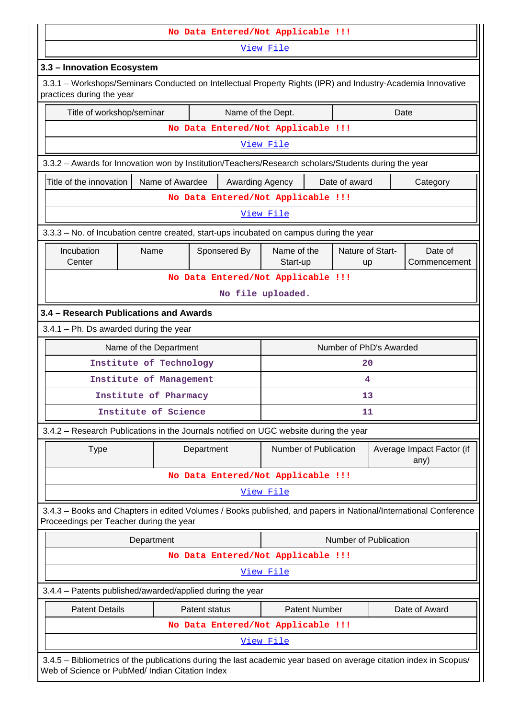|                                                                                                                                                            | No Data Entered/Not Applicable !!!                                                                   |                 |               |                                    |                                                            |                      |                        |                         |                                                                                                                                                                       |  |  |  |  |  |  |
|------------------------------------------------------------------------------------------------------------------------------------------------------------|------------------------------------------------------------------------------------------------------|-----------------|---------------|------------------------------------|------------------------------------------------------------|----------------------|------------------------|-------------------------|-----------------------------------------------------------------------------------------------------------------------------------------------------------------------|--|--|--|--|--|--|
| View File                                                                                                                                                  |                                                                                                      |                 |               |                                    |                                                            |                      |                        |                         |                                                                                                                                                                       |  |  |  |  |  |  |
|                                                                                                                                                            | 3.3 - Innovation Ecosystem                                                                           |                 |               |                                    |                                                            |                      |                        |                         |                                                                                                                                                                       |  |  |  |  |  |  |
| 3.3.1 - Workshops/Seminars Conducted on Intellectual Property Rights (IPR) and Industry-Academia Innovative<br>practices during the year                   |                                                                                                      |                 |               |                                    |                                                            |                      |                        |                         |                                                                                                                                                                       |  |  |  |  |  |  |
| Title of workshop/seminar                                                                                                                                  |                                                                                                      |                 |               | Name of the Dept.                  |                                                            |                      |                        | Date                    |                                                                                                                                                                       |  |  |  |  |  |  |
|                                                                                                                                                            |                                                                                                      |                 |               | No Data Entered/Not Applicable !!! |                                                            |                      |                        |                         |                                                                                                                                                                       |  |  |  |  |  |  |
|                                                                                                                                                            |                                                                                                      |                 |               |                                    | View File                                                  |                      |                        |                         |                                                                                                                                                                       |  |  |  |  |  |  |
|                                                                                                                                                            | 3.3.2 - Awards for Innovation won by Institution/Teachers/Research scholars/Students during the year |                 |               |                                    |                                                            |                      |                        |                         |                                                                                                                                                                       |  |  |  |  |  |  |
| Title of the innovation                                                                                                                                    |                                                                                                      | Name of Awardee |               | Awarding Agency                    |                                                            |                      | Date of award          |                         | Category                                                                                                                                                              |  |  |  |  |  |  |
|                                                                                                                                                            |                                                                                                      |                 |               | No Data Entered/Not Applicable !!! |                                                            |                      |                        |                         |                                                                                                                                                                       |  |  |  |  |  |  |
|                                                                                                                                                            |                                                                                                      |                 |               |                                    | View File                                                  |                      |                        |                         |                                                                                                                                                                       |  |  |  |  |  |  |
| 3.3.3 - No. of Incubation centre created, start-ups incubated on campus during the year                                                                    |                                                                                                      |                 |               |                                    |                                                            |                      |                        |                         |                                                                                                                                                                       |  |  |  |  |  |  |
| Incubation<br>Center                                                                                                                                       | Name                                                                                                 |                 |               | Sponsered By                       | Name of the<br>Start-up                                    |                      | Nature of Start-<br>up |                         | Date of<br>Commencement                                                                                                                                               |  |  |  |  |  |  |
|                                                                                                                                                            |                                                                                                      |                 |               | No Data Entered/Not Applicable !!! |                                                            |                      |                        |                         |                                                                                                                                                                       |  |  |  |  |  |  |
|                                                                                                                                                            |                                                                                                      |                 |               |                                    | No file uploaded.                                          |                      |                        |                         |                                                                                                                                                                       |  |  |  |  |  |  |
| 3.4 - Research Publications and Awards                                                                                                                     |                                                                                                      |                 |               |                                    |                                                            |                      |                        |                         |                                                                                                                                                                       |  |  |  |  |  |  |
| $3.4.1$ – Ph. Ds awarded during the year                                                                                                                   |                                                                                                      |                 |               |                                    |                                                            |                      |                        |                         |                                                                                                                                                                       |  |  |  |  |  |  |
|                                                                                                                                                            | Name of the Department                                                                               |                 |               |                                    |                                                            |                      |                        | Number of PhD's Awarded |                                                                                                                                                                       |  |  |  |  |  |  |
|                                                                                                                                                            | Institute of Technology                                                                              |                 |               |                                    |                                                            |                      | 20                     |                         |                                                                                                                                                                       |  |  |  |  |  |  |
|                                                                                                                                                            | Institute of Management                                                                              |                 |               |                                    |                                                            |                      | 4                      |                         |                                                                                                                                                                       |  |  |  |  |  |  |
|                                                                                                                                                            | Institute of Pharmacy                                                                                |                 |               |                                    |                                                            |                      | 13                     |                         |                                                                                                                                                                       |  |  |  |  |  |  |
|                                                                                                                                                            | Institute of Science                                                                                 |                 |               |                                    |                                                            |                      | 11                     |                         |                                                                                                                                                                       |  |  |  |  |  |  |
| 3.4.2 - Research Publications in the Journals notified on UGC website during the year                                                                      |                                                                                                      |                 |               |                                    |                                                            |                      |                        |                         |                                                                                                                                                                       |  |  |  |  |  |  |
| <b>Type</b>                                                                                                                                                |                                                                                                      |                 | Department    |                                    | Number of Publication<br>Average Impact Factor (if<br>any) |                      |                        |                         |                                                                                                                                                                       |  |  |  |  |  |  |
|                                                                                                                                                            |                                                                                                      |                 |               | No Data Entered/Not Applicable !!! |                                                            |                      |                        |                         |                                                                                                                                                                       |  |  |  |  |  |  |
|                                                                                                                                                            |                                                                                                      |                 |               |                                    | View File                                                  |                      |                        |                         |                                                                                                                                                                       |  |  |  |  |  |  |
| 3.4.3 - Books and Chapters in edited Volumes / Books published, and papers in National/International Conference<br>Proceedings per Teacher during the year |                                                                                                      |                 |               |                                    |                                                            |                      |                        |                         |                                                                                                                                                                       |  |  |  |  |  |  |
|                                                                                                                                                            | Department                                                                                           |                 |               |                                    |                                                            |                      |                        | Number of Publication   |                                                                                                                                                                       |  |  |  |  |  |  |
|                                                                                                                                                            |                                                                                                      |                 |               | No Data Entered/Not Applicable !!! |                                                            |                      |                        |                         |                                                                                                                                                                       |  |  |  |  |  |  |
|                                                                                                                                                            |                                                                                                      |                 |               |                                    | View File                                                  |                      |                        |                         |                                                                                                                                                                       |  |  |  |  |  |  |
| 3.4.4 - Patents published/awarded/applied during the year                                                                                                  |                                                                                                      |                 |               |                                    |                                                            |                      |                        |                         |                                                                                                                                                                       |  |  |  |  |  |  |
| <b>Patent Details</b>                                                                                                                                      |                                                                                                      |                 | Patent status |                                    |                                                            | <b>Patent Number</b> |                        |                         | Date of Award                                                                                                                                                         |  |  |  |  |  |  |
|                                                                                                                                                            |                                                                                                      |                 |               | No Data Entered/Not Applicable !!! |                                                            |                      |                        |                         |                                                                                                                                                                       |  |  |  |  |  |  |
|                                                                                                                                                            |                                                                                                      |                 |               |                                    | View File                                                  |                      |                        |                         |                                                                                                                                                                       |  |  |  |  |  |  |
|                                                                                                                                                            |                                                                                                      |                 |               |                                    |                                                            |                      |                        |                         | 3.4.5 - Bibliometrics of the publications during the last academic year based on average citation index in Scopus/<br>Web of Science or PubMed/ Indian Citation Index |  |  |  |  |  |  |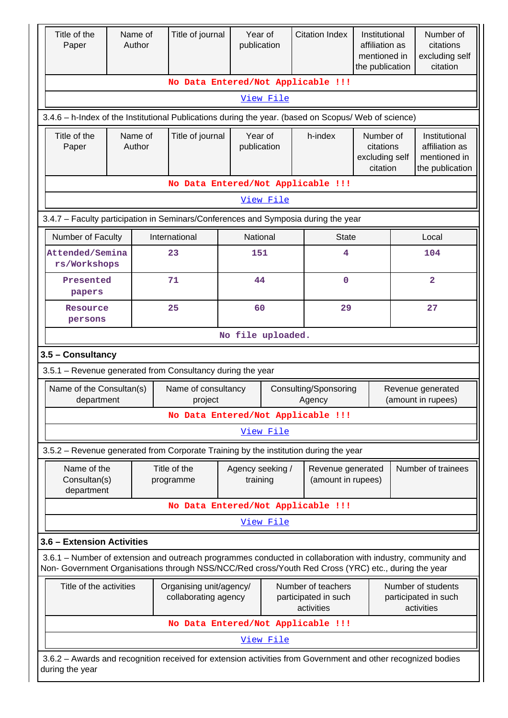| Title of the<br>Paper                                                                                                                                                                                              |                                                                                                                                                                                                    | Name of<br>Author | Title of journal               | Year of<br>publication       |           | <b>Citation Index</b>                   | Institutional<br>affiliation as<br>mentioned in<br>the publication |                    | Number of<br>citations<br>excluding self<br>citation               |  |
|--------------------------------------------------------------------------------------------------------------------------------------------------------------------------------------------------------------------|----------------------------------------------------------------------------------------------------------------------------------------------------------------------------------------------------|-------------------|--------------------------------|------------------------------|-----------|-----------------------------------------|--------------------------------------------------------------------|--------------------|--------------------------------------------------------------------|--|
|                                                                                                                                                                                                                    |                                                                                                                                                                                                    |                   |                                |                              |           | No Data Entered/Not Applicable !!!      |                                                                    |                    |                                                                    |  |
|                                                                                                                                                                                                                    | View File                                                                                                                                                                                          |                   |                                |                              |           |                                         |                                                                    |                    |                                                                    |  |
|                                                                                                                                                                                                                    | 3.4.6 - h-Index of the Institutional Publications during the year. (based on Scopus/ Web of science)                                                                                               |                   |                                |                              |           |                                         |                                                                    |                    |                                                                    |  |
| Title of the<br>Paper                                                                                                                                                                                              | Name of<br>Author                                                                                                                                                                                  |                   | Title of journal               | Year of<br>publication       |           | h-index                                 | Number of<br>citations<br>excluding self<br>citation               |                    | Institutional<br>affiliation as<br>mentioned in<br>the publication |  |
|                                                                                                                                                                                                                    |                                                                                                                                                                                                    |                   |                                |                              |           | No Data Entered/Not Applicable !!!      |                                                                    |                    |                                                                    |  |
|                                                                                                                                                                                                                    |                                                                                                                                                                                                    |                   |                                |                              | View File |                                         |                                                                    |                    |                                                                    |  |
| 3.4.7 - Faculty participation in Seminars/Conferences and Symposia during the year                                                                                                                                 |                                                                                                                                                                                                    |                   |                                |                              |           |                                         |                                                                    |                    |                                                                    |  |
| Number of Faculty                                                                                                                                                                                                  |                                                                                                                                                                                                    |                   | International                  | National                     |           | <b>State</b>                            |                                                                    |                    | Local                                                              |  |
| Attended/Semina<br>rs/Workshops                                                                                                                                                                                    |                                                                                                                                                                                                    |                   | 23                             | 151                          |           | 4                                       |                                                                    |                    | 104                                                                |  |
| Presented<br>papers                                                                                                                                                                                                |                                                                                                                                                                                                    |                   | 71                             | 44                           |           | $\mathbf 0$                             |                                                                    |                    | $\overline{2}$                                                     |  |
| Resource<br>persons                                                                                                                                                                                                |                                                                                                                                                                                                    |                   | 25                             | 60                           |           | 29                                      |                                                                    |                    | 27                                                                 |  |
|                                                                                                                                                                                                                    |                                                                                                                                                                                                    |                   |                                | No file uploaded.            |           |                                         |                                                                    |                    |                                                                    |  |
| 3.5 - Consultancy                                                                                                                                                                                                  |                                                                                                                                                                                                    |                   |                                |                              |           |                                         |                                                                    |                    |                                                                    |  |
| 3.5.1 - Revenue generated from Consultancy during the year                                                                                                                                                         |                                                                                                                                                                                                    |                   |                                |                              |           |                                         |                                                                    |                    |                                                                    |  |
| Name of the Consultan(s)<br>department                                                                                                                                                                             |                                                                                                                                                                                                    |                   | Name of consultancy<br>project |                              |           | Consulting/Sponsoring<br>Agency         |                                                                    |                    | Revenue generated<br>(amount in rupees)                            |  |
|                                                                                                                                                                                                                    |                                                                                                                                                                                                    |                   |                                |                              |           | No Data Entered/Not Applicable !!!      |                                                                    |                    |                                                                    |  |
|                                                                                                                                                                                                                    |                                                                                                                                                                                                    |                   |                                |                              | View File |                                         |                                                                    |                    |                                                                    |  |
| 3.5.2 – Revenue generated from Corporate Training by the institution during the year                                                                                                                               |                                                                                                                                                                                                    |                   |                                |                              |           |                                         |                                                                    |                    |                                                                    |  |
| Name of the<br>Consultan(s)<br>department                                                                                                                                                                          |                                                                                                                                                                                                    |                   | Title of the<br>programme      | Agency seeking /<br>training |           | Revenue generated<br>(amount in rupees) |                                                                    | Number of trainees |                                                                    |  |
|                                                                                                                                                                                                                    |                                                                                                                                                                                                    |                   |                                |                              |           | No Data Entered/Not Applicable !!!      |                                                                    |                    |                                                                    |  |
|                                                                                                                                                                                                                    |                                                                                                                                                                                                    |                   |                                |                              | View File |                                         |                                                                    |                    |                                                                    |  |
| 3.6 - Extension Activities                                                                                                                                                                                         |                                                                                                                                                                                                    |                   |                                |                              |           |                                         |                                                                    |                    |                                                                    |  |
| 3.6.1 – Number of extension and outreach programmes conducted in collaboration with industry, community and<br>Non- Government Organisations through NSS/NCC/Red cross/Youth Red Cross (YRC) etc., during the year |                                                                                                                                                                                                    |                   |                                |                              |           |                                         |                                                                    |                    |                                                                    |  |
|                                                                                                                                                                                                                    | Title of the activities<br>Number of teachers<br>Number of students<br>Organising unit/agency/<br>collaborating agency<br>participated in such<br>participated in such<br>activities<br>activities |                   |                                |                              |           |                                         |                                                                    |                    |                                                                    |  |
|                                                                                                                                                                                                                    |                                                                                                                                                                                                    |                   |                                |                              |           | No Data Entered/Not Applicable !!!      |                                                                    |                    |                                                                    |  |
|                                                                                                                                                                                                                    |                                                                                                                                                                                                    |                   |                                |                              | View File |                                         |                                                                    |                    |                                                                    |  |
| during the year                                                                                                                                                                                                    | 3.6.2 - Awards and recognition received for extension activities from Government and other recognized bodies                                                                                       |                   |                                |                              |           |                                         |                                                                    |                    |                                                                    |  |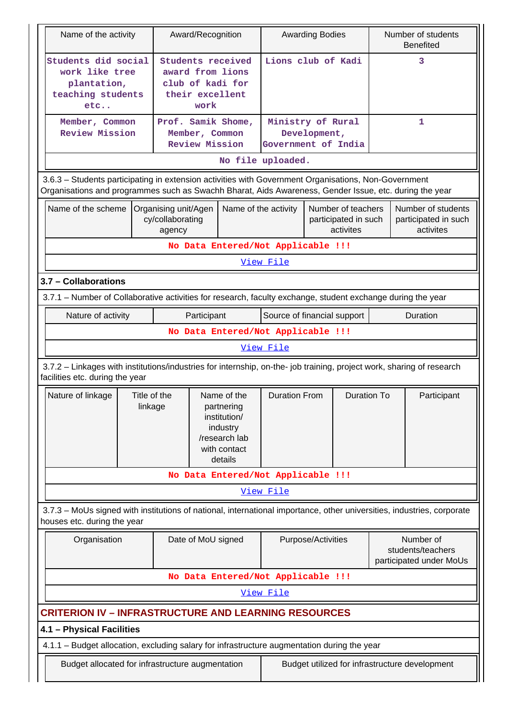| Name of the activity                                                                                                                                                                                           |                                                                                                    |                                                                                                   |             | Award/Recognition                  | <b>Awarding Bodies</b>                   |                                                         |   |                                                           | Number of students<br><b>Benefited</b>                  |
|----------------------------------------------------------------------------------------------------------------------------------------------------------------------------------------------------------------|----------------------------------------------------------------------------------------------------|---------------------------------------------------------------------------------------------------|-------------|------------------------------------|------------------------------------------|---------------------------------------------------------|---|-----------------------------------------------------------|---------------------------------------------------------|
| Students did social<br>work like tree<br>plantation,<br>teaching students<br>etc                                                                                                                               |                                                                                                    | Students received<br>award from lions<br>club of kadi for<br>their excellent<br>work              |             | Lions club of Kadi                 |                                          |                                                         | 3 |                                                           |                                                         |
| Member, Common<br><b>Review Mission</b>                                                                                                                                                                        |                                                                                                    | Prof. Samik Shome,<br>Member, Common<br><b>Review Mission</b>                                     |             |                                    | Ministry of Rural<br>Government of India | Development,                                            |   |                                                           | 1                                                       |
|                                                                                                                                                                                                                |                                                                                                    |                                                                                                   |             |                                    | No file uploaded.                        |                                                         |   |                                                           |                                                         |
| 3.6.3 - Students participating in extension activities with Government Organisations, Non-Government<br>Organisations and programmes such as Swachh Bharat, Aids Awareness, Gender Issue, etc. during the year |                                                                                                    |                                                                                                   |             |                                    |                                          |                                                         |   |                                                           |                                                         |
| Name of the scheme                                                                                                                                                                                             |                                                                                                    | Organising unit/Agen<br>cy/collaborating<br>agency                                                |             | Name of the activity               |                                          | Number of teachers<br>participated in such<br>activites |   |                                                           | Number of students<br>participated in such<br>activites |
|                                                                                                                                                                                                                |                                                                                                    |                                                                                                   |             | No Data Entered/Not Applicable !!! |                                          |                                                         |   |                                                           |                                                         |
|                                                                                                                                                                                                                |                                                                                                    |                                                                                                   |             |                                    | View File                                |                                                         |   |                                                           |                                                         |
| 3.7 - Collaborations                                                                                                                                                                                           |                                                                                                    |                                                                                                   |             |                                    |                                          |                                                         |   |                                                           |                                                         |
| 3.7.1 – Number of Collaborative activities for research, faculty exchange, student exchange during the year                                                                                                    |                                                                                                    |                                                                                                   |             |                                    |                                          |                                                         |   |                                                           |                                                         |
| Nature of activity                                                                                                                                                                                             |                                                                                                    |                                                                                                   | Participant | Source of financial support        |                                          |                                                         |   | Duration                                                  |                                                         |
|                                                                                                                                                                                                                | No Data Entered/Not Applicable !!!                                                                 |                                                                                                   |             |                                    |                                          |                                                         |   |                                                           |                                                         |
|                                                                                                                                                                                                                |                                                                                                    |                                                                                                   |             |                                    | View File                                |                                                         |   |                                                           |                                                         |
| 3.7.2 - Linkages with institutions/industries for internship, on-the- job training, project work, sharing of research<br>facilities etc. during the year                                                       |                                                                                                    |                                                                                                   |             |                                    |                                          |                                                         |   |                                                           |                                                         |
| Nature of linkage                                                                                                                                                                                              | Title of the<br>linkage                                                                            | Name of the<br>partnering<br>institution/<br>industry<br>/research lab<br>with contact<br>details |             | <b>Duration From</b>               |                                          | <b>Duration To</b>                                      |   | Participant                                               |                                                         |
|                                                                                                                                                                                                                |                                                                                                    |                                                                                                   |             | No Data Entered/Not Applicable !!! |                                          |                                                         |   |                                                           |                                                         |
|                                                                                                                                                                                                                |                                                                                                    |                                                                                                   |             |                                    | <u>View File</u>                         |                                                         |   |                                                           |                                                         |
| 3.7.3 - MoUs signed with institutions of national, international importance, other universities, industries, corporate<br>houses etc. during the year                                                          |                                                                                                    |                                                                                                   |             |                                    |                                          |                                                         |   |                                                           |                                                         |
| Organisation                                                                                                                                                                                                   |                                                                                                    |                                                                                                   |             | Date of MoU signed                 |                                          | Purpose/Activities                                      |   | Number of<br>students/teachers<br>participated under MoUs |                                                         |
|                                                                                                                                                                                                                |                                                                                                    |                                                                                                   |             | No Data Entered/Not Applicable !!! |                                          |                                                         |   |                                                           |                                                         |
|                                                                                                                                                                                                                |                                                                                                    |                                                                                                   |             |                                    | View File                                |                                                         |   |                                                           |                                                         |
| <b>CRITERION IV - INFRASTRUCTURE AND LEARNING RESOURCES</b>                                                                                                                                                    |                                                                                                    |                                                                                                   |             |                                    |                                          |                                                         |   |                                                           |                                                         |
| 4.1 - Physical Facilities                                                                                                                                                                                      |                                                                                                    |                                                                                                   |             |                                    |                                          |                                                         |   |                                                           |                                                         |
| 4.1.1 - Budget allocation, excluding salary for infrastructure augmentation during the year                                                                                                                    |                                                                                                    |                                                                                                   |             |                                    |                                          |                                                         |   |                                                           |                                                         |
|                                                                                                                                                                                                                | Budget allocated for infrastructure augmentation<br>Budget utilized for infrastructure development |                                                                                                   |             |                                    |                                          |                                                         |   |                                                           |                                                         |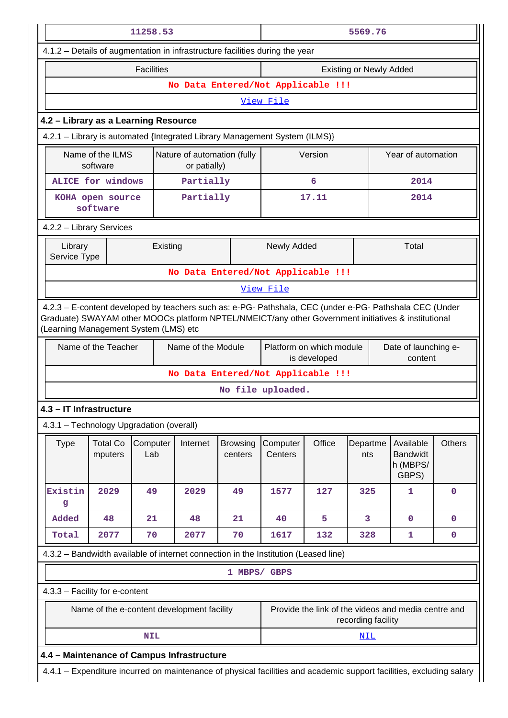|                                                                                                                                                                                                                                                         |                                                                                                                                                                    | 11258.53          |                                             |                            | 5569.76                            |                                          |                 |                                                   |               |  |
|---------------------------------------------------------------------------------------------------------------------------------------------------------------------------------------------------------------------------------------------------------|--------------------------------------------------------------------------------------------------------------------------------------------------------------------|-------------------|---------------------------------------------|----------------------------|------------------------------------|------------------------------------------|-----------------|---------------------------------------------------|---------------|--|
| 4.1.2 - Details of augmentation in infrastructure facilities during the year                                                                                                                                                                            |                                                                                                                                                                    |                   |                                             |                            |                                    |                                          |                 |                                                   |               |  |
|                                                                                                                                                                                                                                                         |                                                                                                                                                                    | <b>Facilities</b> |                                             |                            | <b>Existing or Newly Added</b>     |                                          |                 |                                                   |               |  |
|                                                                                                                                                                                                                                                         |                                                                                                                                                                    |                   |                                             |                            | No Data Entered/Not Applicable !!! |                                          |                 |                                                   |               |  |
|                                                                                                                                                                                                                                                         | View File                                                                                                                                                          |                   |                                             |                            |                                    |                                          |                 |                                                   |               |  |
| 4.2 - Library as a Learning Resource                                                                                                                                                                                                                    |                                                                                                                                                                    |                   |                                             |                            |                                    |                                          |                 |                                                   |               |  |
|                                                                                                                                                                                                                                                         | 4.2.1 - Library is automated {Integrated Library Management System (ILMS)}                                                                                         |                   |                                             |                            |                                    |                                          |                 |                                                   |               |  |
|                                                                                                                                                                                                                                                         | Name of the ILMS<br>software                                                                                                                                       |                   | Nature of automation (fully<br>or patially) |                            |                                    | Version                                  |                 | Year of automation                                |               |  |
|                                                                                                                                                                                                                                                         | <b>ALICE for windows</b>                                                                                                                                           |                   | Partially                                   |                            |                                    | 6                                        |                 | 2014                                              |               |  |
|                                                                                                                                                                                                                                                         | KOHA open source<br>software                                                                                                                                       |                   | Partially                                   |                            |                                    | 17.11                                    |                 | 2014                                              |               |  |
| 4.2.2 - Library Services                                                                                                                                                                                                                                |                                                                                                                                                                    |                   |                                             |                            |                                    |                                          |                 |                                                   |               |  |
| Library                                                                                                                                                                                                                                                 | Newly Added<br>Total<br>Existing<br>Service Type                                                                                                                   |                   |                                             |                            |                                    |                                          |                 |                                                   |               |  |
|                                                                                                                                                                                                                                                         |                                                                                                                                                                    |                   |                                             |                            | No Data Entered/Not Applicable !!! |                                          |                 |                                                   |               |  |
|                                                                                                                                                                                                                                                         |                                                                                                                                                                    |                   |                                             |                            | View File                          |                                          |                 |                                                   |               |  |
| 4.2.3 - E-content developed by teachers such as: e-PG- Pathshala, CEC (under e-PG- Pathshala CEC (Under<br>Graduate) SWAYAM other MOOCs platform NPTEL/NMEICT/any other Government initiatives & institutional<br>(Learning Management System (LMS) etc |                                                                                                                                                                    |                   |                                             |                            |                                    |                                          |                 |                                                   |               |  |
|                                                                                                                                                                                                                                                         | Name of the Teacher                                                                                                                                                |                   | Name of the Module                          |                            |                                    | Platform on which module<br>is developed |                 | Date of launching e-<br>content                   |               |  |
|                                                                                                                                                                                                                                                         |                                                                                                                                                                    |                   |                                             |                            | No Data Entered/Not Applicable !!! |                                          |                 |                                                   |               |  |
|                                                                                                                                                                                                                                                         |                                                                                                                                                                    |                   |                                             |                            | No file uploaded.                  |                                          |                 |                                                   |               |  |
| 4.3 - IT Infrastructure                                                                                                                                                                                                                                 |                                                                                                                                                                    |                   |                                             |                            |                                    |                                          |                 |                                                   |               |  |
| 4.3.1 - Technology Upgradation (overall)                                                                                                                                                                                                                |                                                                                                                                                                    |                   |                                             |                            |                                    |                                          |                 |                                                   |               |  |
| <b>Type</b>                                                                                                                                                                                                                                             | <b>Total Co</b><br>mputers                                                                                                                                         | Computer<br>Lab   | Internet                                    | <b>Browsing</b><br>centers | Computer<br>Centers                | Office                                   | Departme<br>nts | Available<br><b>Bandwidt</b><br>h (MBPS/<br>GBPS) | <b>Others</b> |  |
| Existin<br>g                                                                                                                                                                                                                                            | 2029                                                                                                                                                               | 49                | 2029                                        | 49                         | 1577                               | 127                                      | 325             | 1                                                 | $\mathbf 0$   |  |
| Added                                                                                                                                                                                                                                                   | 48                                                                                                                                                                 | 21                | 48                                          | 21                         | 40                                 | 5                                        | 3               | $\mathbf 0$                                       | $\mathbf 0$   |  |
| Total                                                                                                                                                                                                                                                   | 2077                                                                                                                                                               | 70                | 2077                                        | 70                         | 1617                               | 132                                      | 328             | 1                                                 | $\mathbf 0$   |  |
| 4.3.2 - Bandwidth available of internet connection in the Institution (Leased line)                                                                                                                                                                     |                                                                                                                                                                    |                   |                                             |                            |                                    |                                          |                 |                                                   |               |  |
|                                                                                                                                                                                                                                                         |                                                                                                                                                                    |                   |                                             |                            | 1 MBPS/ GBPS                       |                                          |                 |                                                   |               |  |
| 4.3.3 - Facility for e-content                                                                                                                                                                                                                          |                                                                                                                                                                    |                   |                                             |                            |                                    |                                          |                 |                                                   |               |  |
|                                                                                                                                                                                                                                                         | Provide the link of the videos and media centre and<br>Name of the e-content development facility<br>recording facility                                            |                   |                                             |                            |                                    |                                          |                 |                                                   |               |  |
|                                                                                                                                                                                                                                                         |                                                                                                                                                                    | <b>NIL</b>        |                                             |                            |                                    |                                          | NIL             |                                                   |               |  |
|                                                                                                                                                                                                                                                         |                                                                                                                                                                    |                   |                                             |                            |                                    |                                          |                 |                                                   |               |  |
|                                                                                                                                                                                                                                                         | 4.4 - Maintenance of Campus Infrastructure<br>4.4.1 - Expenditure incurred on maintenance of physical facilities and academic support facilities, excluding salary |                   |                                             |                            |                                    |                                          |                 |                                                   |               |  |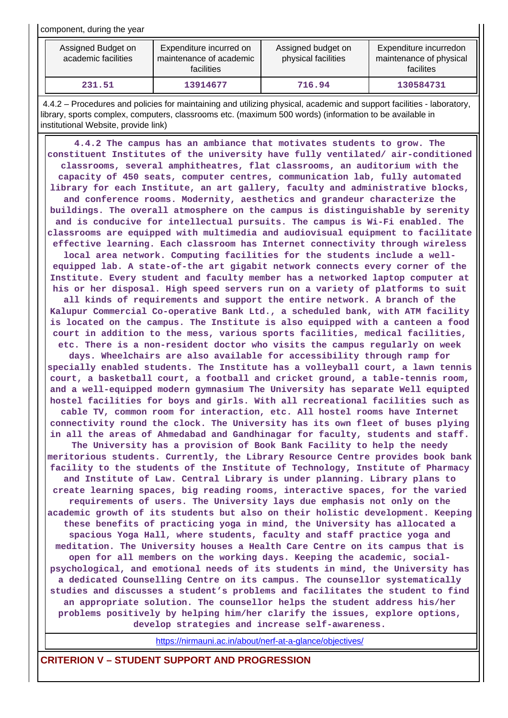component, during the year

| Assigned Budget on<br>academic facilities | Expenditure incurred on<br>maintenance of academic<br><b>facilities</b> |        | Expenditure incurredon<br>maintenance of physical<br>facilites |
|-------------------------------------------|-------------------------------------------------------------------------|--------|----------------------------------------------------------------|
| 231.51                                    | 13914677                                                                | 716.94 | 130584731                                                      |

 4.4.2 – Procedures and policies for maintaining and utilizing physical, academic and support facilities - laboratory, library, sports complex, computers, classrooms etc. (maximum 500 words) (information to be available in institutional Website, provide link)

 **4.4.2 The campus has an ambiance that motivates students to grow. The constituent Institutes of the university have fully ventilated/ air-conditioned classrooms, several amphitheatres, flat classrooms, an auditorium with the capacity of 450 seats, computer centres, communication lab, fully automated library for each Institute, an art gallery, faculty and administrative blocks, and conference rooms. Modernity, aesthetics and grandeur characterize the buildings. The overall atmosphere on the campus is distinguishable by serenity and is conducive for intellectual pursuits. The campus is Wi-Fi enabled. The classrooms are equipped with multimedia and audiovisual equipment to facilitate effective learning. Each classroom has Internet connectivity through wireless local area network. Computing facilities for the students include a wellequipped lab. A state-of-the art gigabit network connects every corner of the Institute. Every student and faculty member has a networked laptop computer at his or her disposal. High speed servers run on a variety of platforms to suit all kinds of requirements and support the entire network. A branch of the Kalupur Commercial Co-operative Bank Ltd., a scheduled bank, with ATM facility is located on the campus. The Institute is also equipped with a canteen a food court in addition to the mess, various sports facilities, medical facilities, etc. There is a non-resident doctor who visits the campus regularly on week days. Wheelchairs are also available for accessibility through ramp for specially enabled students. The Institute has a volleyball court, a lawn tennis court, a basketball court, a football and cricket ground, a table-tennis room, and a well-equipped modern gymnasium The University has separate Well equipted hostel facilities for boys and girls. With all recreational facilities such as cable TV, common room for interaction, etc. All hostel rooms have Internet connectivity round the clock. The University has its own fleet of buses plying in all the areas of Ahmedabad and Gandhinagar for faculty, students and staff. The University has a provision of Book Bank Facility to help the needy meritorious students. Currently, the Library Resource Centre provides book bank facility to the students of the Institute of Technology, Institute of Pharmacy and Institute of Law. Central Library is under planning. Library plans to create learning spaces, big reading rooms, interactive spaces, for the varied requirements of users. The University lays due emphasis not only on the academic growth of its students but also on their holistic development. Keeping these benefits of practicing yoga in mind, the University has allocated a spacious Yoga Hall, where students, faculty and staff practice yoga and meditation. The University houses a Health Care Centre on its campus that is open for all members on the working days. Keeping the academic, socialpsychological, and emotional needs of its students in mind, the University has a dedicated Counselling Centre on its campus. The counsellor systematically studies and discusses a student's problems and facilitates the student to find an appropriate solution. The counsellor helps the student address his/her problems positively by helping him/her clarify the issues, explore options, develop strategies and increase self-awareness.**

<https://nirmauni.ac.in/about/nerf-at-a-glance/objectives/>

**CRITERION V – STUDENT SUPPORT AND PROGRESSION**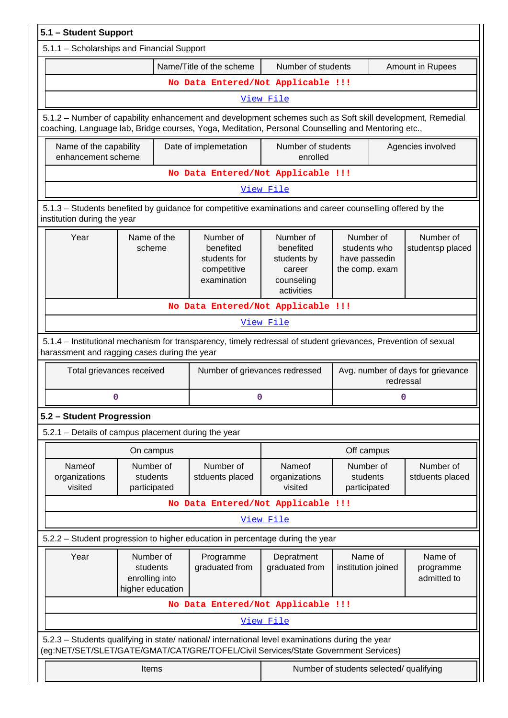| 5.1 - Student Support                                                                                                                                                                                      |                                                                                                                              |                                                                                                                                                                                                                 |                                                                             |                                                              |                                                |  |  |
|------------------------------------------------------------------------------------------------------------------------------------------------------------------------------------------------------------|------------------------------------------------------------------------------------------------------------------------------|-----------------------------------------------------------------------------------------------------------------------------------------------------------------------------------------------------------------|-----------------------------------------------------------------------------|--------------------------------------------------------------|------------------------------------------------|--|--|
| 5.1.1 - Scholarships and Financial Support                                                                                                                                                                 |                                                                                                                              |                                                                                                                                                                                                                 |                                                                             |                                                              |                                                |  |  |
|                                                                                                                                                                                                            |                                                                                                                              | Name/Title of the scheme                                                                                                                                                                                        | Number of students                                                          |                                                              | Amount in Rupees                               |  |  |
|                                                                                                                                                                                                            |                                                                                                                              | No Data Entered/Not Applicable !!!                                                                                                                                                                              |                                                                             |                                                              |                                                |  |  |
|                                                                                                                                                                                                            |                                                                                                                              |                                                                                                                                                                                                                 | View File                                                                   |                                                              |                                                |  |  |
|                                                                                                                                                                                                            |                                                                                                                              | 5.1.2 - Number of capability enhancement and development schemes such as Soft skill development, Remedial<br>coaching, Language lab, Bridge courses, Yoga, Meditation, Personal Counselling and Mentoring etc., |                                                                             |                                                              |                                                |  |  |
|                                                                                                                                                                                                            | Number of students<br>Name of the capability<br>Date of implemetation<br>Agencies involved<br>enhancement scheme<br>enrolled |                                                                                                                                                                                                                 |                                                                             |                                                              |                                                |  |  |
|                                                                                                                                                                                                            |                                                                                                                              | No Data Entered/Not Applicable !!!                                                                                                                                                                              |                                                                             |                                                              |                                                |  |  |
|                                                                                                                                                                                                            |                                                                                                                              |                                                                                                                                                                                                                 | View File                                                                   |                                                              |                                                |  |  |
| institution during the year                                                                                                                                                                                |                                                                                                                              | 5.1.3 – Students benefited by guidance for competitive examinations and career counselling offered by the                                                                                                       |                                                                             |                                                              |                                                |  |  |
| Year                                                                                                                                                                                                       | Name of the<br>scheme                                                                                                        | Number of<br>benefited<br>students for<br>competitive<br>examination                                                                                                                                            | Number of<br>benefited<br>students by<br>career<br>counseling<br>activities | Number of<br>students who<br>have passedin<br>the comp. exam | Number of<br>studentsp placed                  |  |  |
|                                                                                                                                                                                                            |                                                                                                                              | No Data Entered/Not Applicable !!!                                                                                                                                                                              |                                                                             |                                                              |                                                |  |  |
|                                                                                                                                                                                                            |                                                                                                                              |                                                                                                                                                                                                                 | View File                                                                   |                                                              |                                                |  |  |
| harassment and ragging cases during the year                                                                                                                                                               |                                                                                                                              | 5.1.4 – Institutional mechanism for transparency, timely redressal of student grievances, Prevention of sexual                                                                                                  |                                                                             |                                                              |                                                |  |  |
|                                                                                                                                                                                                            | Total grievances received                                                                                                    |                                                                                                                                                                                                                 | Number of grievances redressed                                              |                                                              | Avg. number of days for grievance<br>redressal |  |  |
|                                                                                                                                                                                                            | 0                                                                                                                            |                                                                                                                                                                                                                 | 0                                                                           |                                                              | 0                                              |  |  |
| 5.2 - Student Progression                                                                                                                                                                                  |                                                                                                                              |                                                                                                                                                                                                                 |                                                                             |                                                              |                                                |  |  |
| 5.2.1 - Details of campus placement during the year                                                                                                                                                        |                                                                                                                              |                                                                                                                                                                                                                 |                                                                             |                                                              |                                                |  |  |
|                                                                                                                                                                                                            | On campus                                                                                                                    |                                                                                                                                                                                                                 |                                                                             | Off campus                                                   |                                                |  |  |
| Nameof<br>organizations<br>visited                                                                                                                                                                         | Number of<br>students<br>participated                                                                                        | Number of<br>stduents placed                                                                                                                                                                                    | Nameof<br>organizations<br>visited                                          | Number of<br>students<br>participated                        | Number of<br>stduents placed                   |  |  |
|                                                                                                                                                                                                            |                                                                                                                              | No Data Entered/Not Applicable !!!                                                                                                                                                                              |                                                                             |                                                              |                                                |  |  |
|                                                                                                                                                                                                            |                                                                                                                              |                                                                                                                                                                                                                 | View File                                                                   |                                                              |                                                |  |  |
|                                                                                                                                                                                                            |                                                                                                                              | 5.2.2 - Student progression to higher education in percentage during the year                                                                                                                                   |                                                                             |                                                              |                                                |  |  |
| Year<br>Number of<br>Depratment<br>Name of<br>Name of<br>Programme<br>graduated from<br>graduated from<br>students<br>institution joined<br>programme<br>enrolling into<br>admitted to<br>higher education |                                                                                                                              |                                                                                                                                                                                                                 |                                                                             |                                                              |                                                |  |  |
|                                                                                                                                                                                                            |                                                                                                                              | No Data Entered/Not Applicable !!!                                                                                                                                                                              |                                                                             |                                                              |                                                |  |  |
|                                                                                                                                                                                                            |                                                                                                                              |                                                                                                                                                                                                                 | View File                                                                   |                                                              |                                                |  |  |
|                                                                                                                                                                                                            |                                                                                                                              | 5.2.3 - Students qualifying in state/ national/ international level examinations during the year<br>(eg:NET/SET/SLET/GATE/GMAT/CAT/GRE/TOFEL/Civil Services/State Government Services)                          |                                                                             |                                                              |                                                |  |  |
| Number of students selected/ qualifying<br>Items                                                                                                                                                           |                                                                                                                              |                                                                                                                                                                                                                 |                                                                             |                                                              |                                                |  |  |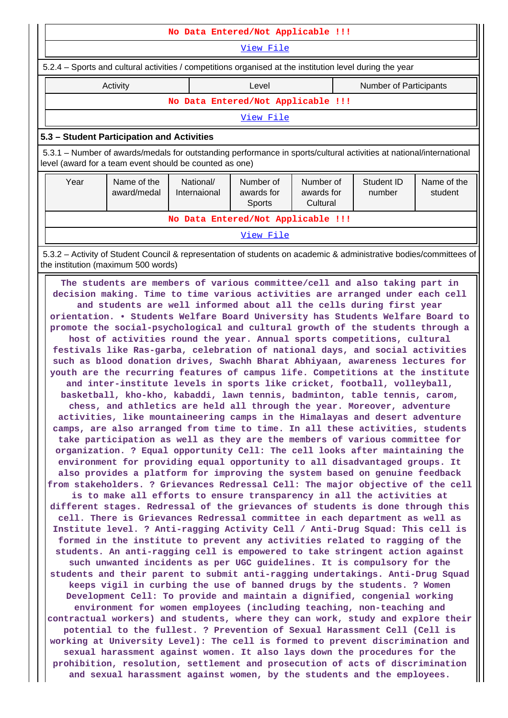|                                                                                                                                                                   |                                                                                                                                                                                                                                                                                                                                                                                                                                                                                                                                                                                                                                                                                                                                                                                                                                                                                                                                                                                                                                                                                                                                                                                                                                                                                                                                                                                                                                                                                                                                                                                                                                                                                                                                                                                                                                                                                                                                                                                                                                                                                                                                                                                                                                                                                                                                                                                                                                                                                                                                                                                                                                                                                                                                                                                                                                                                  | No Data Entered/Not Applicable !!! |                  |          |                        |  |  |  |  |
|-------------------------------------------------------------------------------------------------------------------------------------------------------------------|------------------------------------------------------------------------------------------------------------------------------------------------------------------------------------------------------------------------------------------------------------------------------------------------------------------------------------------------------------------------------------------------------------------------------------------------------------------------------------------------------------------------------------------------------------------------------------------------------------------------------------------------------------------------------------------------------------------------------------------------------------------------------------------------------------------------------------------------------------------------------------------------------------------------------------------------------------------------------------------------------------------------------------------------------------------------------------------------------------------------------------------------------------------------------------------------------------------------------------------------------------------------------------------------------------------------------------------------------------------------------------------------------------------------------------------------------------------------------------------------------------------------------------------------------------------------------------------------------------------------------------------------------------------------------------------------------------------------------------------------------------------------------------------------------------------------------------------------------------------------------------------------------------------------------------------------------------------------------------------------------------------------------------------------------------------------------------------------------------------------------------------------------------------------------------------------------------------------------------------------------------------------------------------------------------------------------------------------------------------------------------------------------------------------------------------------------------------------------------------------------------------------------------------------------------------------------------------------------------------------------------------------------------------------------------------------------------------------------------------------------------------------------------------------------------------------------------------------------------------|------------------------------------|------------------|----------|------------------------|--|--|--|--|
|                                                                                                                                                                   | View File                                                                                                                                                                                                                                                                                                                                                                                                                                                                                                                                                                                                                                                                                                                                                                                                                                                                                                                                                                                                                                                                                                                                                                                                                                                                                                                                                                                                                                                                                                                                                                                                                                                                                                                                                                                                                                                                                                                                                                                                                                                                                                                                                                                                                                                                                                                                                                                                                                                                                                                                                                                                                                                                                                                                                                                                                                                        |                                    |                  |          |                        |  |  |  |  |
| 5.2.4 – Sports and cultural activities / competitions organised at the institution level during the year                                                          |                                                                                                                                                                                                                                                                                                                                                                                                                                                                                                                                                                                                                                                                                                                                                                                                                                                                                                                                                                                                                                                                                                                                                                                                                                                                                                                                                                                                                                                                                                                                                                                                                                                                                                                                                                                                                                                                                                                                                                                                                                                                                                                                                                                                                                                                                                                                                                                                                                                                                                                                                                                                                                                                                                                                                                                                                                                                  |                                    |                  |          |                        |  |  |  |  |
| Activity<br>Level<br><b>Number of Participants</b>                                                                                                                |                                                                                                                                                                                                                                                                                                                                                                                                                                                                                                                                                                                                                                                                                                                                                                                                                                                                                                                                                                                                                                                                                                                                                                                                                                                                                                                                                                                                                                                                                                                                                                                                                                                                                                                                                                                                                                                                                                                                                                                                                                                                                                                                                                                                                                                                                                                                                                                                                                                                                                                                                                                                                                                                                                                                                                                                                                                                  |                                    |                  |          |                        |  |  |  |  |
|                                                                                                                                                                   |                                                                                                                                                                                                                                                                                                                                                                                                                                                                                                                                                                                                                                                                                                                                                                                                                                                                                                                                                                                                                                                                                                                                                                                                                                                                                                                                                                                                                                                                                                                                                                                                                                                                                                                                                                                                                                                                                                                                                                                                                                                                                                                                                                                                                                                                                                                                                                                                                                                                                                                                                                                                                                                                                                                                                                                                                                                                  | No Data Entered/Not Applicable !!! |                  |          |                        |  |  |  |  |
|                                                                                                                                                                   |                                                                                                                                                                                                                                                                                                                                                                                                                                                                                                                                                                                                                                                                                                                                                                                                                                                                                                                                                                                                                                                                                                                                                                                                                                                                                                                                                                                                                                                                                                                                                                                                                                                                                                                                                                                                                                                                                                                                                                                                                                                                                                                                                                                                                                                                                                                                                                                                                                                                                                                                                                                                                                                                                                                                                                                                                                                                  |                                    | View File        |          |                        |  |  |  |  |
|                                                                                                                                                                   |                                                                                                                                                                                                                                                                                                                                                                                                                                                                                                                                                                                                                                                                                                                                                                                                                                                                                                                                                                                                                                                                                                                                                                                                                                                                                                                                                                                                                                                                                                                                                                                                                                                                                                                                                                                                                                                                                                                                                                                                                                                                                                                                                                                                                                                                                                                                                                                                                                                                                                                                                                                                                                                                                                                                                                                                                                                                  |                                    |                  |          |                        |  |  |  |  |
| 5.3 - Student Participation and Activities<br>5.3.1 – Number of awards/medals for outstanding performance in sports/cultural activities at national/international |                                                                                                                                                                                                                                                                                                                                                                                                                                                                                                                                                                                                                                                                                                                                                                                                                                                                                                                                                                                                                                                                                                                                                                                                                                                                                                                                                                                                                                                                                                                                                                                                                                                                                                                                                                                                                                                                                                                                                                                                                                                                                                                                                                                                                                                                                                                                                                                                                                                                                                                                                                                                                                                                                                                                                                                                                                                                  |                                    |                  |          |                        |  |  |  |  |
|                                                                                                                                                                   | level (award for a team event should be counted as one)                                                                                                                                                                                                                                                                                                                                                                                                                                                                                                                                                                                                                                                                                                                                                                                                                                                                                                                                                                                                                                                                                                                                                                                                                                                                                                                                                                                                                                                                                                                                                                                                                                                                                                                                                                                                                                                                                                                                                                                                                                                                                                                                                                                                                                                                                                                                                                                                                                                                                                                                                                                                                                                                                                                                                                                                          |                                    |                  |          |                        |  |  |  |  |
| Year                                                                                                                                                              | Name of the<br>National/<br>Number of<br>Student ID<br>Number of<br>award/medal<br>Internaional<br>awards for<br>awards for<br>number                                                                                                                                                                                                                                                                                                                                                                                                                                                                                                                                                                                                                                                                                                                                                                                                                                                                                                                                                                                                                                                                                                                                                                                                                                                                                                                                                                                                                                                                                                                                                                                                                                                                                                                                                                                                                                                                                                                                                                                                                                                                                                                                                                                                                                                                                                                                                                                                                                                                                                                                                                                                                                                                                                                            |                                    |                  |          | Name of the<br>student |  |  |  |  |
|                                                                                                                                                                   |                                                                                                                                                                                                                                                                                                                                                                                                                                                                                                                                                                                                                                                                                                                                                                                                                                                                                                                                                                                                                                                                                                                                                                                                                                                                                                                                                                                                                                                                                                                                                                                                                                                                                                                                                                                                                                                                                                                                                                                                                                                                                                                                                                                                                                                                                                                                                                                                                                                                                                                                                                                                                                                                                                                                                                                                                                                                  |                                    | <b>Sports</b>    | Cultural |                        |  |  |  |  |
|                                                                                                                                                                   |                                                                                                                                                                                                                                                                                                                                                                                                                                                                                                                                                                                                                                                                                                                                                                                                                                                                                                                                                                                                                                                                                                                                                                                                                                                                                                                                                                                                                                                                                                                                                                                                                                                                                                                                                                                                                                                                                                                                                                                                                                                                                                                                                                                                                                                                                                                                                                                                                                                                                                                                                                                                                                                                                                                                                                                                                                                                  | No Data Entered/Not Applicable !!! |                  |          |                        |  |  |  |  |
|                                                                                                                                                                   |                                                                                                                                                                                                                                                                                                                                                                                                                                                                                                                                                                                                                                                                                                                                                                                                                                                                                                                                                                                                                                                                                                                                                                                                                                                                                                                                                                                                                                                                                                                                                                                                                                                                                                                                                                                                                                                                                                                                                                                                                                                                                                                                                                                                                                                                                                                                                                                                                                                                                                                                                                                                                                                                                                                                                                                                                                                                  |                                    | <u>View File</u> |          |                        |  |  |  |  |
|                                                                                                                                                                   | 5.3.2 - Activity of Student Council & representation of students on academic & administrative bodies/committees of<br>the institution (maximum 500 words)                                                                                                                                                                                                                                                                                                                                                                                                                                                                                                                                                                                                                                                                                                                                                                                                                                                                                                                                                                                                                                                                                                                                                                                                                                                                                                                                                                                                                                                                                                                                                                                                                                                                                                                                                                                                                                                                                                                                                                                                                                                                                                                                                                                                                                                                                                                                                                                                                                                                                                                                                                                                                                                                                                        |                                    |                  |          |                        |  |  |  |  |
|                                                                                                                                                                   | decision making. Time to time various activities are arranged under each cell<br>and students are well informed about all the cells during first year<br>orientation. . Students Welfare Board University has Students Welfare Board to<br>promote the social-psychological and cultural growth of the students through a<br>host of activities round the year. Annual sports competitions, cultural<br>festivals like Ras-garba, celebration of national days, and social activities<br>such as blood donation drives, Swachh Bharat Abhiyaan, awareness lectures for<br>youth are the recurring features of campus life. Competitions at the institute<br>and inter-institute levels in sports like cricket, football, volleyball,<br>basketball, kho-kho, kabaddi, lawn tennis, badminton, table tennis, carom,<br>chess, and athletics are held all through the year. Moreover, adventure<br>activities, like mountaineering camps in the Himalayas and desert adventure<br>camps, are also arranged from time to time. In all these activities, students<br>take participation as well as they are the members of various committee for<br>organization. ? Equal opportunity Cell: The cell looks after maintaining the<br>environment for providing equal opportunity to all disadvantaged groups. It<br>also provides a platform for improving the system based on genuine feedback<br>from stakeholders. ? Grievances Redressal Cell: The major objective of the cell<br>is to make all efforts to ensure transparency in all the activities at<br>different stages. Redressal of the grievances of students is done through this<br>cell. There is Grievances Redressal committee in each department as well as<br>Institute level. ? Anti-ragging Activity Cell / Anti-Drug Squad: This cell is<br>formed in the institute to prevent any activities related to ragging of the<br>students. An anti-ragging cell is empowered to take stringent action against<br>such unwanted incidents as per UGC guidelines. It is compulsory for the<br>students and their parent to submit anti-ragging undertakings. Anti-Drug Squad<br>keeps vigil in curbing the use of banned drugs by the students. ? Women<br>Development Cell: To provide and maintain a dignified, congenial working<br>environment for women employees (including teaching, non-teaching and<br>contractual workers) and students, where they can work, study and explore their<br>potential to the fullest. ? Prevention of Sexual Harassment Cell (Cell is<br>working at University Level): The cell is formed to prevent discrimination and<br>sexual harassment against women. It also lays down the procedures for the<br>prohibition, resolution, settlement and prosecution of acts of discrimination<br>and sexual harassment against women, by the students and the employees. |                                    |                  |          |                        |  |  |  |  |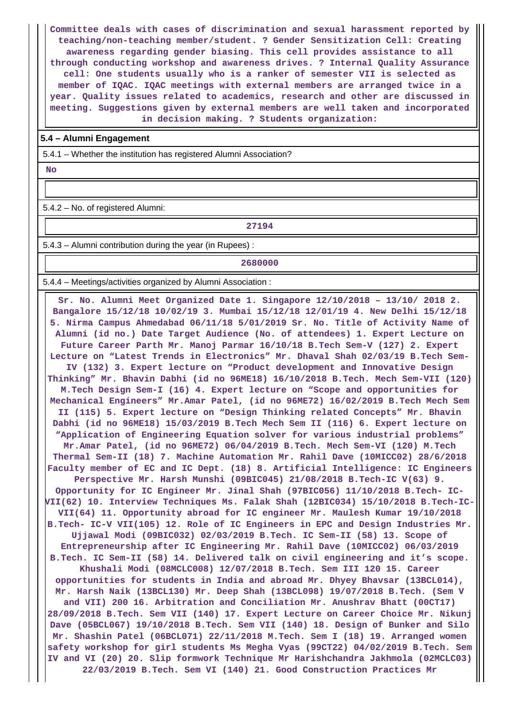**Committee deals with cases of discrimination and sexual harassment reported by teaching/non-teaching member/student. ? Gender Sensitization Cell: Creating awareness regarding gender biasing. This cell provides assistance to all through conducting workshop and awareness drives. ? Internal Quality Assurance cell: One students usually who is a ranker of semester VII is selected as member of IQAC. IQAC meetings with external members are arranged twice in a year. Quality issues related to academics, research and other are discussed in meeting. Suggestions given by external members are well taken and incorporated in decision making. ? Students organization:**

#### **5.4 – Alumni Engagement**

5.4.1 – Whether the institution has registered Alumni Association?

 **No**

5.4.2 – No. of registered Alumni:

**27194**

5.4.3 – Alumni contribution during the year (in Rupees) :

#### **2680000**

5.4.4 – Meetings/activities organized by Alumni Association :

 **Sr. No. Alumni Meet Organized Date 1. Singapore 12/10/2018 – 13/10/ 2018 2. Bangalore 15/12/18 10/02/19 3. Mumbai 15/12/18 12/01/19 4. New Delhi 15/12/18 5. Nirma Campus Ahmedabad 06/11/18 5/01/2019 Sr. No. Title of Activity Name of Alumni (id no.) Date Target Audience (No. of attendees) 1. Expert Lecture on Future Career Parth Mr. Manoj Parmar 16/10/18 B.Tech Sem-V (127) 2. Expert Lecture on "Latest Trends in Electronics" Mr. Dhaval Shah 02/03/19 B.Tech Sem-IV (132) 3. Expert lecture on "Product development and Innovative Design Thinking" Mr. Bhavin Dabhi (id no 96ME18) 16/10/2018 B.Tech. Mech Sem-VII (120) M.Tech Design Sem-I (16) 4. Expert lecture on "Scope and opportunities for Mechanical Engineers" Mr.Amar Patel, (id no 96ME72) 16/02/2019 B.Tech Mech Sem II (115) 5. Expert lecture on "Design Thinking related Concepts" Mr. Bhavin Dabhi (id no 96ME18) 15/03/2019 B.Tech Mech Sem II (116) 6. Expert lecture on "Application of Engineering Equation solver for various industrial problems" Mr.Amar Patel, (id no 96ME72) 06/04/2019 B.Tech. Mech Sem-VI (120) M.Tech Thermal Sem-II (18) 7. Machine Automation Mr. Rahil Dave (10MICC02) 28/6/2018 Faculty member of EC and IC Dept. (18) 8. Artificial Intelligence: IC Engineers Perspective Mr. Harsh Munshi (09BIC045) 21/08/2018 B.Tech-IC V(63) 9. Opportunity for IC Engineer Mr. Jinal Shah (97BIC056) 11/10/2018 B.Tech- IC-VII(62) 10. Interview Techniques Ms. Falak Shah (12BIC034) 15/10/2018 B.Tech-IC-VII(64) 11. Opportunity abroad for IC engineer Mr. Maulesh Kumar 19/10/2018 B.Tech- IC-V VII(105) 12. Role of IC Engineers in EPC and Design Industries Mr. Ujjawal Modi (09BIC032) 02/03/2019 B.Tech. IC Sem-II (58) 13. Scope of Entrepreneurship after IC Engineering Mr. Rahil Dave (10MICC02) 06/03/2019 B.Tech. IC Sem-II (58) 14. Delivered talk on civil engineering and it's scope. Khushali Modi (08MCLC008) 12/07/2018 B.Tech. Sem III 120 15. Career opportunities for students in India and abroad Mr. Dhyey Bhavsar (13BCL014), Mr. Harsh Naik (13BCL130) Mr. Deep Shah (13BCL098) 19/07/2018 B.Tech. (Sem V and VII) 200 16. Arbitration and Conciliation Mr. Anushrav Bhatt (00CT17) 28/09/2018 B.Tech. Sem VII (140) 17. Expert Lecture on Career Choice Mr. Nikunj Dave (05BCL067) 19/10/2018 B.Tech. Sem VII (140) 18. Design of Bunker and Silo Mr. Shashin Patel (06BCL071) 22/11/2018 M.Tech. Sem I (18) 19. Arranged women safety workshop for girl students Ms Megha Vyas (99CT22) 04/02/2019 B.Tech. Sem IV and VI (20) 20. Slip formwork Technique Mr Harishchandra Jakhmola (02MCLC03) 22/03/2019 B.Tech. Sem VI (140) 21. Good Construction Practices Mr**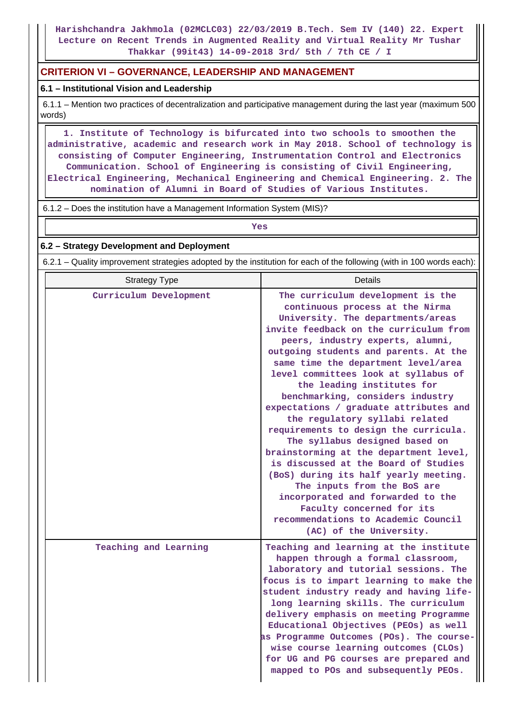**Harishchandra Jakhmola (02MCLC03) 22/03/2019 B.Tech. Sem IV (140) 22. Expert Lecture on Recent Trends in Augmented Reality and Virtual Reality Mr Tushar Thakkar (99it43) 14-09-2018 3rd/ 5th / 7th CE / I**

# **CRITERION VI – GOVERNANCE, LEADERSHIP AND MANAGEMENT**

## **6.1 – Institutional Vision and Leadership**

 6.1.1 – Mention two practices of decentralization and participative management during the last year (maximum 500 words)

 **1. Institute of Technology is bifurcated into two schools to smoothen the administrative, academic and research work in May 2018. School of technology is consisting of Computer Engineering, Instrumentation Control and Electronics Communication. School of Engineering is consisting of Civil Engineering, Electrical Engineering, Mechanical Engineering and Chemical Engineering. 2. The nomination of Alumni in Board of Studies of Various Institutes.**

6.1.2 – Does the institution have a Management Information System (MIS)?

*Yes* 

#### **6.2 – Strategy Development and Deployment**

6.2.1 – Quality improvement strategies adopted by the institution for each of the following (with in 100 words each):

| <b>Strategy Type</b>   | Details                                                                                                                                                                                                                                                                                                                                                                                                                                                                                                                                                                                                                                                                                                                                                                                                                                |
|------------------------|----------------------------------------------------------------------------------------------------------------------------------------------------------------------------------------------------------------------------------------------------------------------------------------------------------------------------------------------------------------------------------------------------------------------------------------------------------------------------------------------------------------------------------------------------------------------------------------------------------------------------------------------------------------------------------------------------------------------------------------------------------------------------------------------------------------------------------------|
| Curriculum Development | The curriculum development is the<br>continuous process at the Nirma<br>University. The departments/areas<br>invite feedback on the curriculum from<br>peers, industry experts, alumni,<br>outgoing students and parents. At the<br>same time the department level/area<br>level committees look at syllabus of<br>the leading institutes for<br>benchmarking, considers industry<br>expectations / graduate attributes and<br>the regulatory syllabi related<br>requirements to design the curricula.<br>The syllabus designed based on<br>brainstorming at the department level,<br>is discussed at the Board of Studies<br>(BoS) during its half yearly meeting.<br>The inputs from the BoS are<br>incorporated and forwarded to the<br>Faculty concerned for its<br>recommendations to Academic Council<br>(AC) of the University. |
| Teaching and Learning  | Teaching and learning at the institute<br>happen through a formal classroom,<br>laboratory and tutorial sessions. The<br>focus is to impart learning to make the<br>student industry ready and having life-<br>long learning skills. The curriculum<br>delivery emphasis on meeting Programme<br>Educational Objectives (PEOs) as well<br>as Programme Outcomes (POs). The course-<br>wise course learning outcomes (CLOs)<br>for UG and PG courses are prepared and<br>mapped to POs and subsequently PEOs.                                                                                                                                                                                                                                                                                                                           |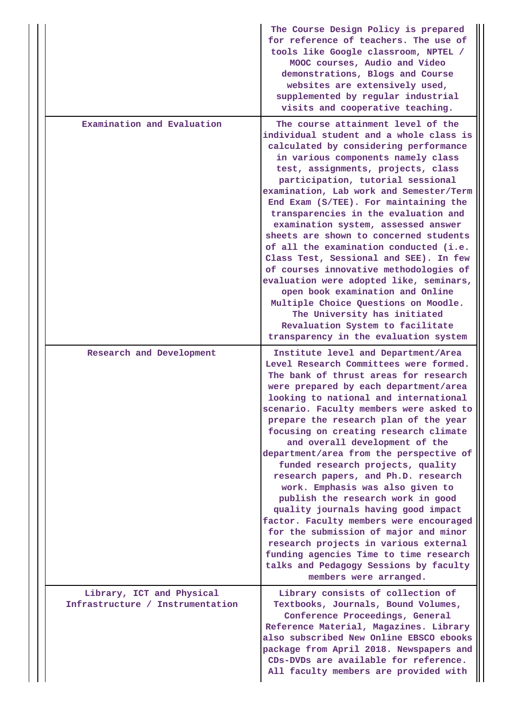|                                                               | The Course Design Policy is prepared<br>for reference of teachers. The use of<br>tools like Google classroom, NPTEL /<br>MOOC courses, Audio and Video<br>demonstrations, Blogs and Course<br>websites are extensively used,<br>supplemented by regular industrial<br>visits and cooperative teaching.                                                                                                                                                                                                                                                                                                                                                                                                                                                                                                                                                    |  |  |  |  |
|---------------------------------------------------------------|-----------------------------------------------------------------------------------------------------------------------------------------------------------------------------------------------------------------------------------------------------------------------------------------------------------------------------------------------------------------------------------------------------------------------------------------------------------------------------------------------------------------------------------------------------------------------------------------------------------------------------------------------------------------------------------------------------------------------------------------------------------------------------------------------------------------------------------------------------------|--|--|--|--|
| Examination and Evaluation                                    | individual student and a whole class is<br>calculated by considering performance<br>in various components namely class<br>test, assignments, projects, class<br>participation, tutorial sessional<br>examination, Lab work and Semester/Term<br>End Exam (S/TEE). For maintaining the<br>transparencies in the evaluation and<br>examination system, assessed answer<br>sheets are shown to concerned students<br>of all the examination conducted (i.e.<br>Class Test, Sessional and SEE). In few<br>of courses innovative methodologies of<br>evaluation were adopted like, seminars,<br>open book examination and Online<br>Multiple Choice Questions on Moodle.<br>The University has initiated<br>Revaluation System to facilitate<br>transparency in the evaluation system                                                                          |  |  |  |  |
| Research and Development                                      | Institute level and Department/Area<br>Level Research Committees were formed.<br>The bank of thrust areas for research<br>were prepared by each department/area<br>looking to national and international<br>scenario. Faculty members were asked to<br>prepare the research plan of the year<br>focusing on creating research climate<br>and overall development of the<br>department/area from the perspective of<br>funded research projects, quality<br>research papers, and Ph.D. research<br>work. Emphasis was also given to<br>publish the research work in good<br>quality journals having good impact<br>factor. Faculty members were encouraged<br>for the submission of major and minor<br>research projects in various external<br>funding agencies Time to time research<br>talks and Pedagogy Sessions by faculty<br>members were arranged. |  |  |  |  |
| Library, ICT and Physical<br>Infrastructure / Instrumentation | Library consists of collection of<br>Textbooks, Journals, Bound Volumes,<br>Conference Proceedings, General<br>Reference Material, Magazines. Library<br>also subscribed New Online EBSCO ebooks<br>package from April 2018. Newspapers and<br>CDs-DVDs are available for reference.<br>All faculty members are provided with                                                                                                                                                                                                                                                                                                                                                                                                                                                                                                                             |  |  |  |  |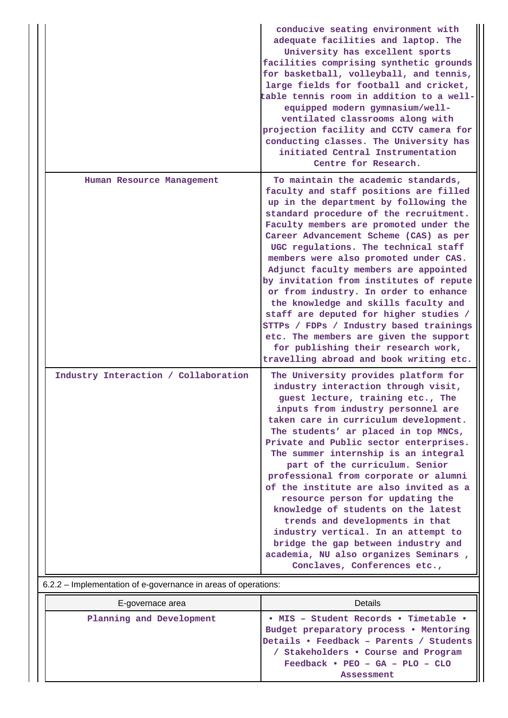|                                      | conducive seating environment with<br>adequate facilities and laptop. The<br>University has excellent sports<br>facilities comprising synthetic grounds<br>for basketball, volleyball, and tennis,<br>large fields for football and cricket,<br>table tennis room in addition to a well-<br>equipped modern gymnasium/well-<br>ventilated classrooms along with<br>projection facility and CCTV camera for<br>conducting classes. The University has<br>initiated Central Instrumentation<br>Centre for Research.                                                                                                                                                                                                           |
|--------------------------------------|-----------------------------------------------------------------------------------------------------------------------------------------------------------------------------------------------------------------------------------------------------------------------------------------------------------------------------------------------------------------------------------------------------------------------------------------------------------------------------------------------------------------------------------------------------------------------------------------------------------------------------------------------------------------------------------------------------------------------------|
| Human Resource Management            | To maintain the academic standards,<br>faculty and staff positions are filled<br>up in the department by following the<br>standard procedure of the recruitment.<br>Faculty members are promoted under the<br>Career Advancement Scheme (CAS) as per<br>UGC regulations. The technical staff<br>members were also promoted under CAS.<br>Adjunct faculty members are appointed<br>by invitation from institutes of repute<br>or from industry. In order to enhance<br>the knowledge and skills faculty and<br>staff are deputed for higher studies /<br>STTPs / FDPs / Industry based trainings<br>etc. The members are given the support<br>for publishing their research work,<br>travelling abroad and book writing etc. |
| Industry Interaction / Collaboration | The University provides platform for<br>industry interaction through visit,<br>guest lecture, training etc., The<br>inputs from industry personnel are<br>taken care in curriculum development.<br>The students' ar placed in top MNCs,<br>Private and Public sector enterprises.<br>The summer internship is an integral<br>part of the curriculum. Senior<br>professional from corporate or alumni<br>of the institute are also invited as a<br>resource person for updating the<br>knowledge of students on the latest<br>trends and developments in that<br>industry vertical. In an attempt to<br>bridge the gap between industry and<br>academia, NU also organizes Seminars,<br>Conclaves, Conferences etc.,         |

# 6.2.2 – Implementation of e-governance in areas of operations:

| E-governace area         | Details                                 |
|--------------------------|-----------------------------------------|
| Planning and Development | • MIS - Student Records • Timetable •   |
|                          | Budget preparatory process . Mentoring  |
|                          | Details • Feedback - Parents / Students |
|                          | Stakeholders . Course and Program       |
|                          | $Feedback \cdot FEO - GA - PLO - CLO$   |
|                          | <b>Assessment</b>                       |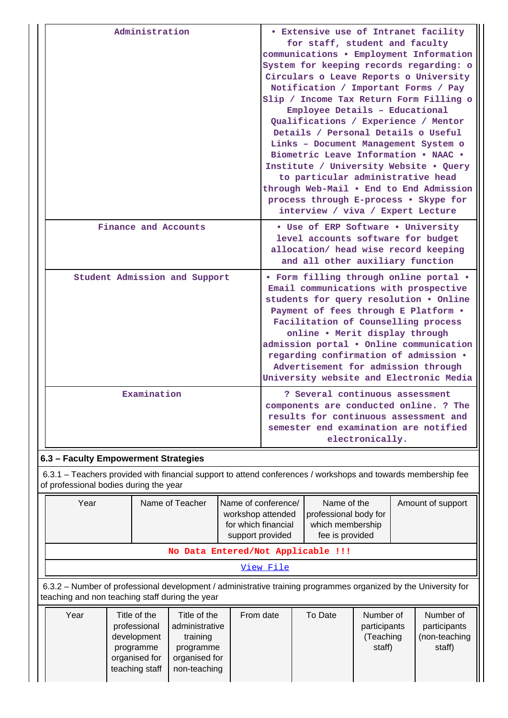|                                        | Administration                |                                                                                                       |                                                                                                                                                                                                                                                                                                                                                                                                                  | <b>• Extensive use of Intranet facility</b><br>for staff, student and faculty<br>communications . Employment Information<br>System for keeping records regarding: o<br>Circulars o Leave Reports o University<br>Notification / Important Forms / Pay<br>Slip / Income Tax Return Form Filling o<br>Employee Details - Educational<br>Qualifications / Experience / Mentor<br>Details / Personal Details o Useful<br>Links - Document Management System o<br>Biometric Leave Information . NAAC .<br>Institute / University Website . Query<br>to particular administrative head<br>through Web-Mail . End to End Admission<br>process through E-process . Skype for<br>interview / viva / Expert Lecture |  |  |  |
|----------------------------------------|-------------------------------|-------------------------------------------------------------------------------------------------------|------------------------------------------------------------------------------------------------------------------------------------------------------------------------------------------------------------------------------------------------------------------------------------------------------------------------------------------------------------------------------------------------------------------|-----------------------------------------------------------------------------------------------------------------------------------------------------------------------------------------------------------------------------------------------------------------------------------------------------------------------------------------------------------------------------------------------------------------------------------------------------------------------------------------------------------------------------------------------------------------------------------------------------------------------------------------------------------------------------------------------------------|--|--|--|
|                                        | Finance and Accounts          |                                                                                                       | • Use of ERP Software • University<br>level accounts software for budget<br>allocation/ head wise record keeping<br>and all other auxiliary function                                                                                                                                                                                                                                                             |                                                                                                                                                                                                                                                                                                                                                                                                                                                                                                                                                                                                                                                                                                           |  |  |  |
|                                        | Student Admission and Support |                                                                                                       | • Form filling through online portal .<br>Email communications with prospective<br>students for query resolution . Online<br>Payment of fees through E Platform .<br>Facilitation of Counselling process<br>online . Merit display through<br>admission portal . Online communication<br>regarding confirmation of admission .<br>Advertisement for admission through<br>University website and Electronic Media |                                                                                                                                                                                                                                                                                                                                                                                                                                                                                                                                                                                                                                                                                                           |  |  |  |
|                                        | Examination                   |                                                                                                       | ? Several continuous assessment<br>components are conducted online. ? The<br>results for continuous assessment and<br>semester end examination are notified<br>electronically.                                                                                                                                                                                                                                   |                                                                                                                                                                                                                                                                                                                                                                                                                                                                                                                                                                                                                                                                                                           |  |  |  |
| 6.3 - Faculty Empowerment Strategies   |                               |                                                                                                       |                                                                                                                                                                                                                                                                                                                                                                                                                  |                                                                                                                                                                                                                                                                                                                                                                                                                                                                                                                                                                                                                                                                                                           |  |  |  |
| of professional bodies during the year |                               |                                                                                                       |                                                                                                                                                                                                                                                                                                                                                                                                                  | 6.3.1 – Teachers provided with financial support to attend conferences / workshops and towards membership fee                                                                                                                                                                                                                                                                                                                                                                                                                                                                                                                                                                                             |  |  |  |
| Year                                   | Name of Teacher               | Name of conference/<br>Name of the<br>Amount of support<br>workshop attended<br>professional body for |                                                                                                                                                                                                                                                                                                                                                                                                                  |                                                                                                                                                                                                                                                                                                                                                                                                                                                                                                                                                                                                                                                                                                           |  |  |  |

|                                                                                                          | workshop attended<br>for which financial<br>support provided | professional body for<br>which membership<br>fee is provided |  |
|----------------------------------------------------------------------------------------------------------|--------------------------------------------------------------|--------------------------------------------------------------|--|
|                                                                                                          | No Data Entered/Not Applicable !!!                           |                                                              |  |
|                                                                                                          | View File                                                    |                                                              |  |
| con Number of professional development / odministrative training programmes examined by the University f |                                                              |                                                              |  |

 6.3.2 – Number of professional development / administrative training programmes organized by the University for teaching and non teaching staff during the year

| Year | Title of the<br>professional<br>development<br>programme<br>organised for<br>teaching staff | Title of the<br>administrative<br>training<br>programme<br>organised for<br>non-teaching | From date | To Date | Number of<br>participants<br>(Teaching<br>staff) | Number of<br>participants<br>(non-teaching<br>staff) |
|------|---------------------------------------------------------------------------------------------|------------------------------------------------------------------------------------------|-----------|---------|--------------------------------------------------|------------------------------------------------------|
|      |                                                                                             |                                                                                          |           |         |                                                  |                                                      |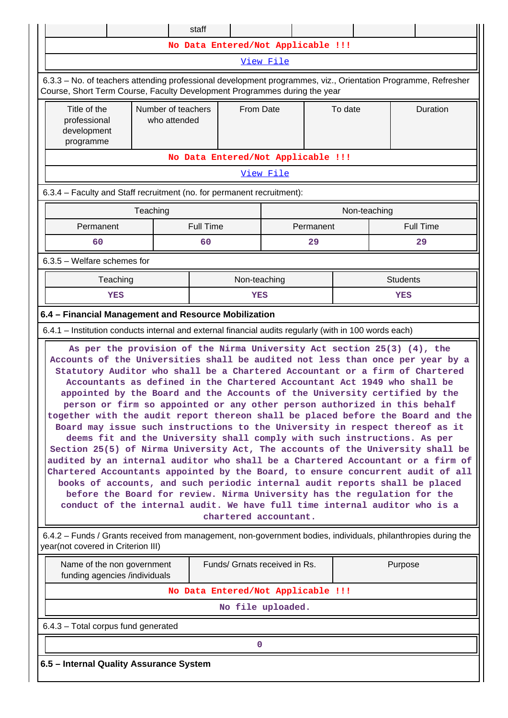|                                                                                                                                                                                                                                                                                                                                                                                                                                                                                                                                                                                                                                                                                                                                                                                                                                                                                                                                                                                                                                                                                                                                                                                                                                                           |                                         | staff            |              |  |           |              |          |                  |  |
|-----------------------------------------------------------------------------------------------------------------------------------------------------------------------------------------------------------------------------------------------------------------------------------------------------------------------------------------------------------------------------------------------------------------------------------------------------------------------------------------------------------------------------------------------------------------------------------------------------------------------------------------------------------------------------------------------------------------------------------------------------------------------------------------------------------------------------------------------------------------------------------------------------------------------------------------------------------------------------------------------------------------------------------------------------------------------------------------------------------------------------------------------------------------------------------------------------------------------------------------------------------|-----------------------------------------|------------------|--------------|--|-----------|--------------|----------|------------------|--|
| No Data Entered/Not Applicable !!!                                                                                                                                                                                                                                                                                                                                                                                                                                                                                                                                                                                                                                                                                                                                                                                                                                                                                                                                                                                                                                                                                                                                                                                                                        |                                         |                  |              |  |           |              |          |                  |  |
| View File                                                                                                                                                                                                                                                                                                                                                                                                                                                                                                                                                                                                                                                                                                                                                                                                                                                                                                                                                                                                                                                                                                                                                                                                                                                 |                                         |                  |              |  |           |              |          |                  |  |
| 6.3.3 - No. of teachers attending professional development programmes, viz., Orientation Programme, Refresher<br>Course, Short Term Course, Faculty Development Programmes during the year                                                                                                                                                                                                                                                                                                                                                                                                                                                                                                                                                                                                                                                                                                                                                                                                                                                                                                                                                                                                                                                                |                                         |                  |              |  |           |              |          |                  |  |
| Title of the<br>professional<br>development<br>programme                                                                                                                                                                                                                                                                                                                                                                                                                                                                                                                                                                                                                                                                                                                                                                                                                                                                                                                                                                                                                                                                                                                                                                                                  | Number of teachers<br>who attended      |                  | From Date    |  | To date   |              | Duration |                  |  |
| No Data Entered/Not Applicable !!!                                                                                                                                                                                                                                                                                                                                                                                                                                                                                                                                                                                                                                                                                                                                                                                                                                                                                                                                                                                                                                                                                                                                                                                                                        |                                         |                  |              |  |           |              |          |                  |  |
| View File                                                                                                                                                                                                                                                                                                                                                                                                                                                                                                                                                                                                                                                                                                                                                                                                                                                                                                                                                                                                                                                                                                                                                                                                                                                 |                                         |                  |              |  |           |              |          |                  |  |
| 6.3.4 - Faculty and Staff recruitment (no. for permanent recruitment):                                                                                                                                                                                                                                                                                                                                                                                                                                                                                                                                                                                                                                                                                                                                                                                                                                                                                                                                                                                                                                                                                                                                                                                    |                                         |                  |              |  |           |              |          |                  |  |
|                                                                                                                                                                                                                                                                                                                                                                                                                                                                                                                                                                                                                                                                                                                                                                                                                                                                                                                                                                                                                                                                                                                                                                                                                                                           | Teaching                                |                  |              |  |           | Non-teaching |          |                  |  |
| Permanent                                                                                                                                                                                                                                                                                                                                                                                                                                                                                                                                                                                                                                                                                                                                                                                                                                                                                                                                                                                                                                                                                                                                                                                                                                                 |                                         | <b>Full Time</b> |              |  | Permanent |              |          | <b>Full Time</b> |  |
| 60                                                                                                                                                                                                                                                                                                                                                                                                                                                                                                                                                                                                                                                                                                                                                                                                                                                                                                                                                                                                                                                                                                                                                                                                                                                        |                                         | 60               |              |  | 29        |              |          | 29               |  |
| 6.3.5 - Welfare schemes for                                                                                                                                                                                                                                                                                                                                                                                                                                                                                                                                                                                                                                                                                                                                                                                                                                                                                                                                                                                                                                                                                                                                                                                                                               |                                         |                  |              |  |           |              |          |                  |  |
| Teaching                                                                                                                                                                                                                                                                                                                                                                                                                                                                                                                                                                                                                                                                                                                                                                                                                                                                                                                                                                                                                                                                                                                                                                                                                                                  |                                         |                  | Non-teaching |  |           |              |          | <b>Students</b>  |  |
| YES                                                                                                                                                                                                                                                                                                                                                                                                                                                                                                                                                                                                                                                                                                                                                                                                                                                                                                                                                                                                                                                                                                                                                                                                                                                       |                                         |                  | YES          |  |           |              |          | YES              |  |
| 6.4 - Financial Management and Resource Mobilization                                                                                                                                                                                                                                                                                                                                                                                                                                                                                                                                                                                                                                                                                                                                                                                                                                                                                                                                                                                                                                                                                                                                                                                                      |                                         |                  |              |  |           |              |          |                  |  |
| 6.4.1 – Institution conducts internal and external financial audits regularly (with in 100 words each)                                                                                                                                                                                                                                                                                                                                                                                                                                                                                                                                                                                                                                                                                                                                                                                                                                                                                                                                                                                                                                                                                                                                                    |                                         |                  |              |  |           |              |          |                  |  |
| As per the provision of the Nirma University Act section 25(3) (4), the<br>Accounts of the Universities shall be audited not less than once per year by a<br>Statutory Auditor who shall be a Chartered Accountant or a firm of Chartered<br>Accountants as defined in the Chartered Accountant Act 1949 who shall be<br>appointed by the Board and the Accounts of the University certified by the<br>person or firm so appointed or any other person authorized in this behalf<br>together with the audit report thereon shall be placed before the Board and the<br>Board may issue such instructions to the University in respect thereof as it<br>deems fit and the University shall comply with such instructions. As per<br>Section 25(5) of Nirma University Act, The accounts of the University shall be<br>audited by an internal auditor who shall be a Chartered Accountant or a firm of<br>Chartered Accountants appointed by the Board, to ensure concurrent audit of all<br>books of accounts, and such periodic internal audit reports shall be placed<br>before the Board for review. Nirma University has the regulation for the<br>conduct of the internal audit. We have full time internal auditor who is a<br>chartered accountant. |                                         |                  |              |  |           |              |          |                  |  |
| 6.4.2 – Funds / Grants received from management, non-government bodies, individuals, philanthropies during the<br>year(not covered in Criterion III)                                                                                                                                                                                                                                                                                                                                                                                                                                                                                                                                                                                                                                                                                                                                                                                                                                                                                                                                                                                                                                                                                                      |                                         |                  |              |  |           |              |          |                  |  |
| Name of the non government<br>Funds/ Grnats received in Rs.<br>Purpose<br>funding agencies /individuals                                                                                                                                                                                                                                                                                                                                                                                                                                                                                                                                                                                                                                                                                                                                                                                                                                                                                                                                                                                                                                                                                                                                                   |                                         |                  |              |  |           |              |          |                  |  |
| No Data Entered/Not Applicable !!!                                                                                                                                                                                                                                                                                                                                                                                                                                                                                                                                                                                                                                                                                                                                                                                                                                                                                                                                                                                                                                                                                                                                                                                                                        |                                         |                  |              |  |           |              |          |                  |  |
| No file uploaded.                                                                                                                                                                                                                                                                                                                                                                                                                                                                                                                                                                                                                                                                                                                                                                                                                                                                                                                                                                                                                                                                                                                                                                                                                                         |                                         |                  |              |  |           |              |          |                  |  |
| 6.4.3 - Total corpus fund generated                                                                                                                                                                                                                                                                                                                                                                                                                                                                                                                                                                                                                                                                                                                                                                                                                                                                                                                                                                                                                                                                                                                                                                                                                       |                                         |                  |              |  |           |              |          |                  |  |
|                                                                                                                                                                                                                                                                                                                                                                                                                                                                                                                                                                                                                                                                                                                                                                                                                                                                                                                                                                                                                                                                                                                                                                                                                                                           |                                         |                  | 0            |  |           |              |          |                  |  |
|                                                                                                                                                                                                                                                                                                                                                                                                                                                                                                                                                                                                                                                                                                                                                                                                                                                                                                                                                                                                                                                                                                                                                                                                                                                           | 6.5 - Internal Quality Assurance System |                  |              |  |           |              |          |                  |  |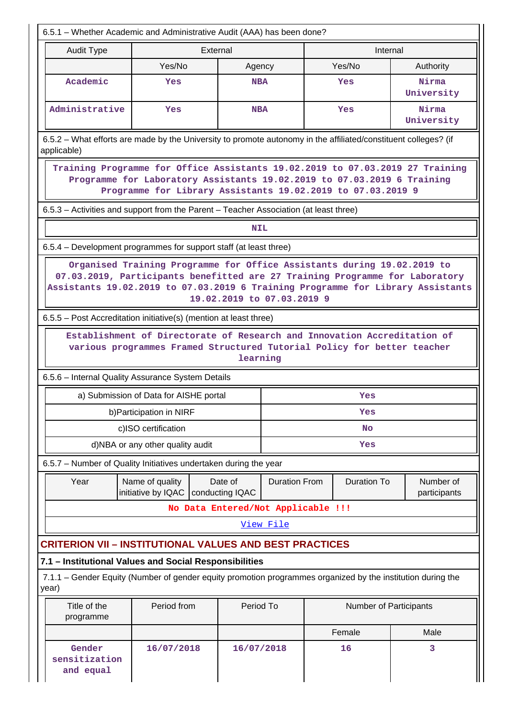6.5.1 – Whether Academic and Administrative Audit (AAA) has been done? **Audit Type**  The External **Internal Communist External Communist External Communist External Communist External Communist External Communist External Communist External Communist External Communist External Communist Exte** Yes/No | Agency | Yes/No | Authority **Academic Yes NBA Yes Nirma University Administrative Yes NBA Yes Nirma University** 6.5.2 – What efforts are made by the University to promote autonomy in the affiliated/constituent colleges? (if applicable) **Training Programme for Office Assistants 19.02.2019 to 07.03.2019 27 Training Programme for Laboratory Assistants 19.02.2019 to 07.03.2019 6 Training Programme for Library Assistants 19.02.2019 to 07.03.2019 9** 6.5.3 – Activities and support from the Parent – Teacher Association (at least three) **NIL**  6.5.4 – Development programmes for support staff (at least three) **Organised Training Programme for Office Assistants during 19.02.2019 to 07.03.2019, Participants benefitted are 27 Training Programme for Laboratory Assistants 19.02.2019 to 07.03.2019 6 Training Programme for Library Assistants 19.02.2019 to 07.03.2019 9** 6.5.5 – Post Accreditation initiative(s) (mention at least three) **Establishment of Directorate of Research and Innovation Accreditation of various programmes Framed Structured Tutorial Policy for better teacher learning** 6.5.6 – Internal Quality Assurance System Details a) Submission of Data for AISHE portal **Yes** b)Participation in NIRF **Yes** c)ISO certification **No** d)NBA or any other quality audit **Yes** 6.5.7 – Number of Quality Initiatives undertaken during the year Year | Name of quality initiative by IQAC Date of conducting IQAC Duration From Duration To Number of participants **No Data Entered/Not Applicable !!!** [View File](https://assessmentonline.naac.gov.in/public/Postacc/Quality_Initiatives_B/2997_Quality_Initiatives_B_1582630327.xlsx) **CRITERION VII – INSTITUTIONAL VALUES AND BEST PRACTICES 7.1 – Institutional Values and Social Responsibilities** 7.1.1 – Gender Equity (Number of gender equity promotion programmes organized by the institution during the year) Title of the programme Period from  $\vert$  Period To  $\vert$  Number of Participants Female Male **Gender sensitization and equal 16/07/2018 16/07/2018 16 3**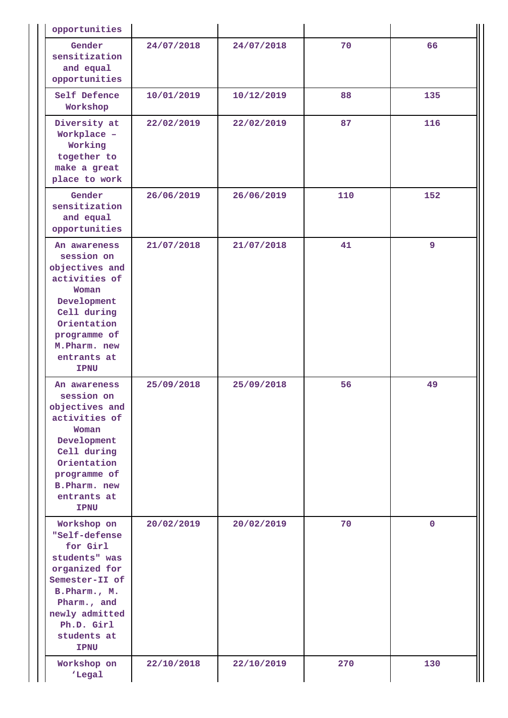| opportunities                                                                                                                                                                             |            |            |     |              |
|-------------------------------------------------------------------------------------------------------------------------------------------------------------------------------------------|------------|------------|-----|--------------|
| Gender<br>sensitization<br>and equal<br>opportunities                                                                                                                                     | 24/07/2018 | 24/07/2018 | 70  | 66           |
| Self Defence<br>Workshop                                                                                                                                                                  | 10/01/2019 | 10/12/2019 | 88  | 135          |
| Diversity at<br>Workplace -<br>Working<br>together to<br>make a great<br>place to work                                                                                                    | 22/02/2019 | 22/02/2019 | 87  | 116          |
| Gender<br>sensitization<br>and equal<br>opportunities                                                                                                                                     | 26/06/2019 | 26/06/2019 | 110 | 152          |
| An awareness<br>session on<br>objectives and<br>activities of<br>Woman<br>Development<br>Cell during<br>Orientation<br>programme of<br>M. Pharm. new<br>entrants at<br><b>IPNU</b>        | 21/07/2018 | 21/07/2018 | 41  | 9            |
| An awareness<br>session on<br>objectives and<br>activities of<br>Woman<br>Development<br>Cell during<br>Orientation<br>programme of<br><b>B.Pharm.</b> new<br>entrants at<br><b>IPNU</b>  | 25/09/2018 | 25/09/2018 | 56  | 49           |
| Workshop on<br>"Self-defense<br>for Girl<br>students" was<br>organized for<br>Semester-II of<br>B.Pharm., M.<br>Pharm., and<br>newly admitted<br>Ph.D. Girl<br>students at<br><b>IPNU</b> | 20/02/2019 | 20/02/2019 | 70  | $\mathbf{0}$ |
| Workshop on<br>'Legal                                                                                                                                                                     | 22/10/2018 | 22/10/2019 | 270 | 130          |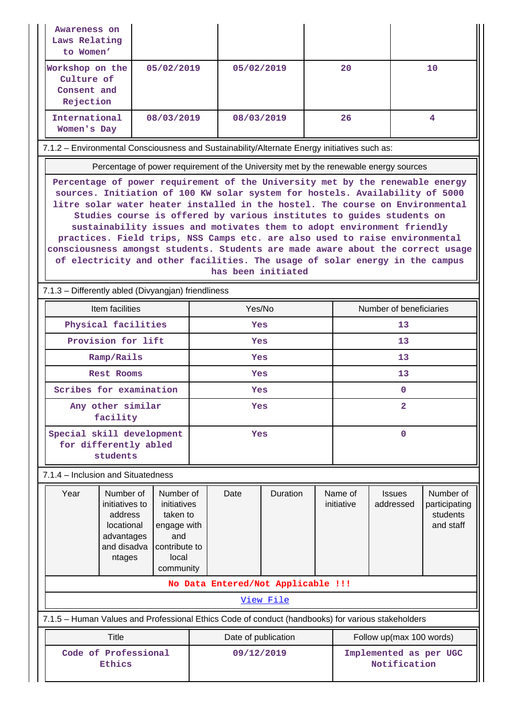| Awareness on<br>Laws Relating<br>to Women'                                                   |                                                                                                                                                                                                                                                                                                                                                                                                                                                                                                                                                                                                                                                                           |                                                                                                   |                                                      |            |                                    |                          |                            |                                                     |    |
|----------------------------------------------------------------------------------------------|---------------------------------------------------------------------------------------------------------------------------------------------------------------------------------------------------------------------------------------------------------------------------------------------------------------------------------------------------------------------------------------------------------------------------------------------------------------------------------------------------------------------------------------------------------------------------------------------------------------------------------------------------------------------------|---------------------------------------------------------------------------------------------------|------------------------------------------------------|------------|------------------------------------|--------------------------|----------------------------|-----------------------------------------------------|----|
| Workshop on the<br>Culture of<br>Consent and<br>Rejection                                    |                                                                                                                                                                                                                                                                                                                                                                                                                                                                                                                                                                                                                                                                           | 05/02/2019                                                                                        |                                                      | 05/02/2019 |                                    |                          | 20                         |                                                     | 10 |
| International<br>Women's Day                                                                 |                                                                                                                                                                                                                                                                                                                                                                                                                                                                                                                                                                                                                                                                           | 08/03/2019                                                                                        |                                                      |            | 08/03/2019                         |                          | 26                         |                                                     | 4  |
| 7.1.2 - Environmental Consciousness and Sustainability/Alternate Energy initiatives such as: |                                                                                                                                                                                                                                                                                                                                                                                                                                                                                                                                                                                                                                                                           |                                                                                                   |                                                      |            |                                    |                          |                            |                                                     |    |
| Percentage of power requirement of the University met by the renewable energy sources        |                                                                                                                                                                                                                                                                                                                                                                                                                                                                                                                                                                                                                                                                           |                                                                                                   |                                                      |            |                                    |                          |                            |                                                     |    |
|                                                                                              | Percentage of power requirement of the University met by the renewable energy<br>sources. Initiation of 100 KW solar system for hostels. Availability of 5000<br>litre solar water heater installed in the hostel. The course on Environmental<br>Studies course is offered by various institutes to guides students on<br>sustainability issues and motivates them to adopt environment friendly<br>practices. Field trips, NSS Camps etc. are also used to raise environmental<br>consciousness amongst students. Students are made aware about the correct usage<br>of electricity and other facilities. The usage of solar energy in the campus<br>has been initiated |                                                                                                   |                                                      |            |                                    |                          |                            |                                                     |    |
| 7.1.3 - Differently abled (Divyangjan) friendliness                                          |                                                                                                                                                                                                                                                                                                                                                                                                                                                                                                                                                                                                                                                                           |                                                                                                   |                                                      |            |                                    |                          |                            |                                                     |    |
|                                                                                              | Item facilities                                                                                                                                                                                                                                                                                                                                                                                                                                                                                                                                                                                                                                                           |                                                                                                   | Yes/No                                               |            |                                    | Number of beneficiaries  |                            |                                                     |    |
|                                                                                              | Physical facilities                                                                                                                                                                                                                                                                                                                                                                                                                                                                                                                                                                                                                                                       |                                                                                                   | Yes                                                  |            |                                    | 13                       |                            |                                                     |    |
|                                                                                              | Provision for lift                                                                                                                                                                                                                                                                                                                                                                                                                                                                                                                                                                                                                                                        |                                                                                                   | Yes                                                  |            |                                    | 13                       |                            |                                                     |    |
|                                                                                              | Ramp/Rails                                                                                                                                                                                                                                                                                                                                                                                                                                                                                                                                                                                                                                                                |                                                                                                   | Yes                                                  |            |                                    | 13                       |                            |                                                     |    |
|                                                                                              | <b>Rest Rooms</b>                                                                                                                                                                                                                                                                                                                                                                                                                                                                                                                                                                                                                                                         |                                                                                                   | Yes                                                  |            |                                    |                          | 13                         |                                                     |    |
| Scribes for examination                                                                      |                                                                                                                                                                                                                                                                                                                                                                                                                                                                                                                                                                                                                                                                           |                                                                                                   | Yes                                                  |            |                                    |                          | 0                          |                                                     |    |
|                                                                                              | Any other similar<br>facility                                                                                                                                                                                                                                                                                                                                                                                                                                                                                                                                                                                                                                             |                                                                                                   | Yes                                                  |            |                                    |                          | 2                          |                                                     |    |
| Special skill development<br>for differently abled                                           | students                                                                                                                                                                                                                                                                                                                                                                                                                                                                                                                                                                                                                                                                  |                                                                                                   | Yes                                                  |            |                                    | 0                        |                            |                                                     |    |
| 7.1.4 - Inclusion and Situatedness                                                           |                                                                                                                                                                                                                                                                                                                                                                                                                                                                                                                                                                                                                                                                           |                                                                                                   |                                                      |            |                                    |                          |                            |                                                     |    |
| Year                                                                                         | Number of<br>initiatives to<br>address<br>locational<br>advantages<br>and disadva<br>ntages                                                                                                                                                                                                                                                                                                                                                                                                                                                                                                                                                                               | Number of<br>initiatives<br>taken to<br>engage with<br>and<br>contribute to<br>local<br>community | Duration<br>Date                                     |            |                                    | Name of<br>initiative    | <b>Issues</b><br>addressed | Number of<br>participating<br>students<br>and staff |    |
|                                                                                              |                                                                                                                                                                                                                                                                                                                                                                                                                                                                                                                                                                                                                                                                           |                                                                                                   |                                                      |            | No Data Entered/Not Applicable !!! |                          |                            |                                                     |    |
|                                                                                              | View File                                                                                                                                                                                                                                                                                                                                                                                                                                                                                                                                                                                                                                                                 |                                                                                                   |                                                      |            |                                    |                          |                            |                                                     |    |
|                                                                                              | 7.1.5 - Human Values and Professional Ethics Code of conduct (handbooks) for various stakeholders                                                                                                                                                                                                                                                                                                                                                                                                                                                                                                                                                                         |                                                                                                   |                                                      |            |                                    |                          |                            |                                                     |    |
|                                                                                              | <b>Title</b>                                                                                                                                                                                                                                                                                                                                                                                                                                                                                                                                                                                                                                                              |                                                                                                   | Date of publication                                  |            |                                    | Follow up(max 100 words) |                            |                                                     |    |
| Code of Professional<br>Ethics                                                               |                                                                                                                                                                                                                                                                                                                                                                                                                                                                                                                                                                                                                                                                           |                                                                                                   | 09/12/2019<br>Implemented as per UGC<br>Notification |            |                                    |                          |                            |                                                     |    |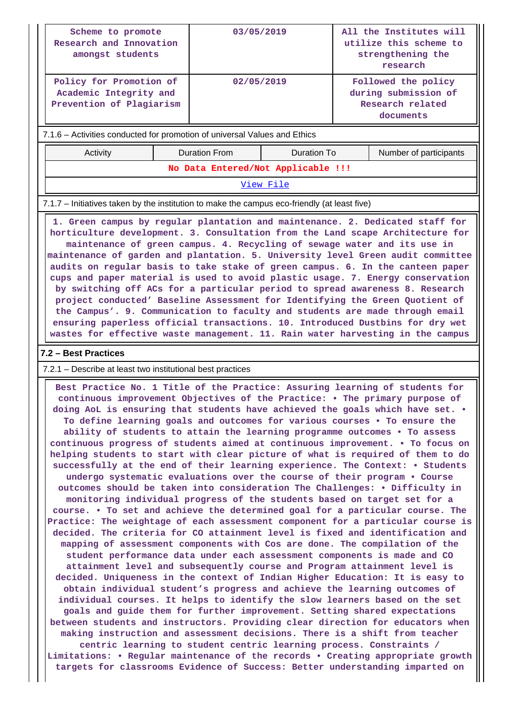| Scheme to promote<br>Research and Innovation<br>amongst students                                                                                                                                                                                                                                                                                                                                                                                                                                                                                                                                                                                                                                                                                                                                                       |  | 03/05/2019                         |                    | All the Institutes will<br>utilize this scheme to<br>strengthening the<br>research |  |  |  |
|------------------------------------------------------------------------------------------------------------------------------------------------------------------------------------------------------------------------------------------------------------------------------------------------------------------------------------------------------------------------------------------------------------------------------------------------------------------------------------------------------------------------------------------------------------------------------------------------------------------------------------------------------------------------------------------------------------------------------------------------------------------------------------------------------------------------|--|------------------------------------|--------------------|------------------------------------------------------------------------------------|--|--|--|
| Policy for Promotion of<br>Academic Integrity and<br>Prevention of Plagiarism                                                                                                                                                                                                                                                                                                                                                                                                                                                                                                                                                                                                                                                                                                                                          |  | 02/05/2019                         |                    | Followed the policy<br>during submission of<br>Research related<br>documents       |  |  |  |
| 7.1.6 - Activities conducted for promotion of universal Values and Ethics                                                                                                                                                                                                                                                                                                                                                                                                                                                                                                                                                                                                                                                                                                                                              |  |                                    |                    |                                                                                    |  |  |  |
| Activity                                                                                                                                                                                                                                                                                                                                                                                                                                                                                                                                                                                                                                                                                                                                                                                                               |  | <b>Duration From</b>               | <b>Duration To</b> | Number of participants                                                             |  |  |  |
|                                                                                                                                                                                                                                                                                                                                                                                                                                                                                                                                                                                                                                                                                                                                                                                                                        |  | No Data Entered/Not Applicable !!! |                    |                                                                                    |  |  |  |
|                                                                                                                                                                                                                                                                                                                                                                                                                                                                                                                                                                                                                                                                                                                                                                                                                        |  |                                    | View File          |                                                                                    |  |  |  |
| 7.1.7 - Initiatives taken by the institution to make the campus eco-friendly (at least five)                                                                                                                                                                                                                                                                                                                                                                                                                                                                                                                                                                                                                                                                                                                           |  |                                    |                    |                                                                                    |  |  |  |
| maintenance of green campus. 4. Recycling of sewage water and its use in<br>maintenance of garden and plantation. 5. University level Green audit committee<br>audits on regular basis to take stake of green campus. 6. In the canteen paper<br>cups and paper material is used to avoid plastic usage. 7. Energy conservation<br>by switching off ACs for a particular period to spread awareness 8. Research<br>project conducted' Baseline Assessment for Identifying the Green Quotient of<br>the Campus'. 9. Communication to faculty and students are made through email<br>ensuring paperless official transactions. 10. Introduced Dustbins for dry wet<br>wastes for effective waste management. 11. Rain water harvesting in the campus                                                                     |  |                                    |                    |                                                                                    |  |  |  |
| 7.2 - Best Practices                                                                                                                                                                                                                                                                                                                                                                                                                                                                                                                                                                                                                                                                                                                                                                                                   |  |                                    |                    |                                                                                    |  |  |  |
| 7.2.1 – Describe at least two institutional best practices                                                                                                                                                                                                                                                                                                                                                                                                                                                                                                                                                                                                                                                                                                                                                             |  |                                    |                    |                                                                                    |  |  |  |
| Best Practice No. 1 Title of the Practice: Assuring learning of students for<br>continuous improvement Objectives of the Practice: . The primary purpose of<br>doing AoL is ensuring that students have achieved the goals which have set. .<br>To define learning goals and outcomes for various courses . To ensure the<br>ability of students to attain the learning programme outcomes . To assess<br>continuous progress of students aimed at continuous improvement. . To focus on<br>helping students to start with clear picture of what is required of them to do<br>successfully at the end of their learning experience. The Context: • Students<br>undergo systematic evaluations over the course of their program . Course<br>outcomes should be taken into consideration The Challenges: . Difficulty in |  |                                    |                    |                                                                                    |  |  |  |

**monitoring individual progress of the students based on target set for a course. • To set and achieve the determined goal for a particular course. The Practice: The weightage of each assessment component for a particular course is decided. The criteria for CO attainment level is fixed and identification and mapping of assessment components with Cos are done. The compilation of the student performance data under each assessment components is made and CO attainment level and subsequently course and Program attainment level is decided. Uniqueness in the context of Indian Higher Education: It is easy to obtain individual student's progress and achieve the learning outcomes of individual courses. It helps to identify the slow learners based on the set goals and guide them for further improvement. Setting shared expectations between students and instructors. Providing clear direction for educators when making instruction and assessment decisions. There is a shift from teacher centric learning to student centric learning process. Constraints / Limitations: • Regular maintenance of the records • Creating appropriate growth targets for classrooms Evidence of Success: Better understanding imparted on**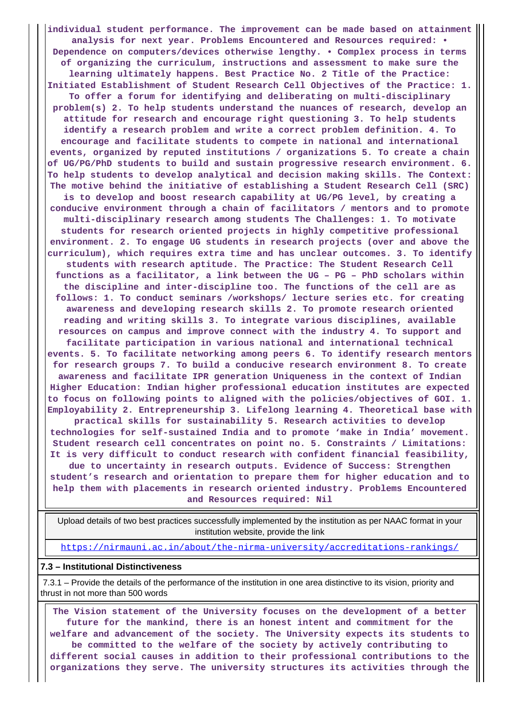**individual student performance. The improvement can be made based on attainment analysis for next year. Problems Encountered and Resources required: • Dependence on computers/devices otherwise lengthy. • Complex process in terms of organizing the curriculum, instructions and assessment to make sure the learning ultimately happens. Best Practice No. 2 Title of the Practice: Initiated Establishment of Student Research Cell Objectives of the Practice: 1. To offer a forum for identifying and deliberating on multi-disciplinary problem(s) 2. To help students understand the nuances of research, develop an attitude for research and encourage right questioning 3. To help students identify a research problem and write a correct problem definition. 4. To encourage and facilitate students to compete in national and international events, organized by reputed institutions / organizations 5. To create a chain of UG/PG/PhD students to build and sustain progressive research environment. 6. To help students to develop analytical and decision making skills. The Context: The motive behind the initiative of establishing a Student Research Cell (SRC) is to develop and boost research capability at UG/PG level, by creating a conducive environment through a chain of facilitators / mentors and to promote multi-disciplinary research among students The Challenges: 1. To motivate students for research oriented projects in highly competitive professional environment. 2. To engage UG students in research projects (over and above the curriculum), which requires extra time and has unclear outcomes. 3. To identify students with research aptitude. The Practice: The Student Research Cell functions as a facilitator, a link between the UG – PG – PhD scholars within the discipline and inter-discipline too. The functions of the cell are as follows: 1. To conduct seminars /workshops/ lecture series etc. for creating awareness and developing research skills 2. To promote research oriented reading and writing skills 3. To integrate various disciplines, available resources on campus and improve connect with the industry 4. To support and facilitate participation in various national and international technical events. 5. To facilitate networking among peers 6. To identify research mentors for research groups 7. To build a conducive research environment 8. To create awareness and facilitate IPR generation Uniqueness in the context of Indian Higher Education: Indian higher professional education institutes are expected to focus on following points to aligned with the policies/objectives of GOI. 1. Employability 2. Entrepreneurship 3. Lifelong learning 4. Theoretical base with practical skills for sustainability 5. Research activities to develop technologies for self-sustained India and to promote 'make in India' movement. Student research cell concentrates on point no. 5. Constraints / Limitations: It is very difficult to conduct research with confident financial feasibility, due to uncertainty in research outputs. Evidence of Success: Strengthen student's research and orientation to prepare them for higher education and to help them with placements in research oriented industry. Problems Encountered and Resources required: Nil**

 Upload details of two best practices successfully implemented by the institution as per NAAC format in your institution website, provide the link

<https://nirmauni.ac.in/about/the-nirma-university/accreditations-rankings/>

#### **7.3 – Institutional Distinctiveness**

 7.3.1 – Provide the details of the performance of the institution in one area distinctive to its vision, priority and thrust in not more than 500 words

 **The Vision statement of the University focuses on the development of a better future for the mankind, there is an honest intent and commitment for the welfare and advancement of the society. The University expects its students to be committed to the welfare of the society by actively contributing to different social causes in addition to their professional contributions to the organizations they serve. The university structures its activities through the**